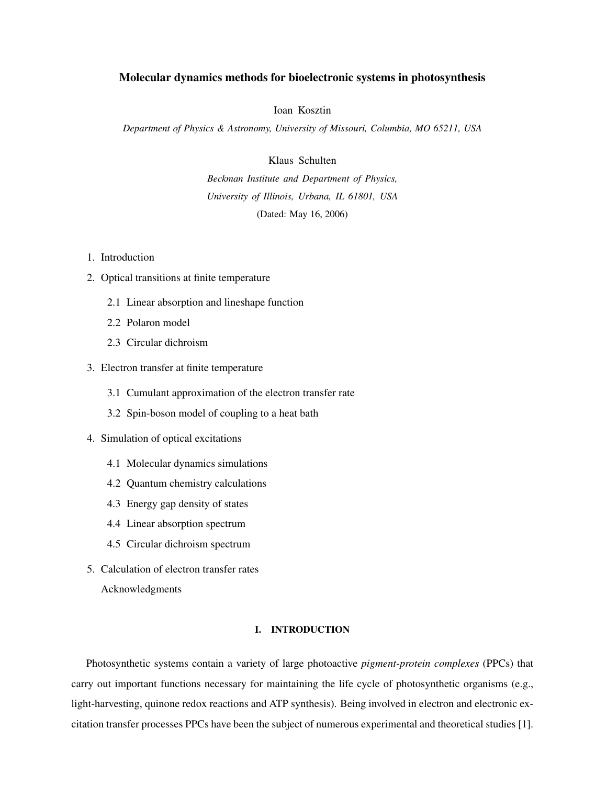# Molecular dynamics methods for bioelectronic systems in photosynthesis

Ioan Kosztin

*Department of Physics & Astronomy, University of Missouri, Columbia, MO 65211, USA*

Klaus Schulten

*Beckman Institute and Department of Physics, University of Illinois, Urbana, IL 61801, USA* (Dated: May 16, 2006)

- 1. Introduction
- 2. Optical transitions at finite temperature
	- 2.1 Linear absorption and lineshape function
	- 2.2 Polaron model
	- 2.3 Circular dichroism
- 3. Electron transfer at finite temperature
	- 3.1 Cumulant approximation of the electron transfer rate
	- 3.2 Spin-boson model of coupling to a heat bath
- 4. Simulation of optical excitations
	- 4.1 Molecular dynamics simulations
	- 4.2 Quantum chemistry calculations
	- 4.3 Energy gap density of states
	- 4.4 Linear absorption spectrum
	- 4.5 Circular dichroism spectrum
- 5. Calculation of electron transfer rates

Acknowledgments

# I. INTRODUCTION

Photosynthetic systems contain a variety of large photoactive *pigment-protein complexes* (PPCs) that carry out important functions necessary for maintaining the life cycle of photosynthetic organisms (e.g., light-harvesting, quinone redox reactions and ATP synthesis). Being involved in electron and electronic excitation transfer processes PPCs have been the subject of numerous experimental and theoretical studies [1].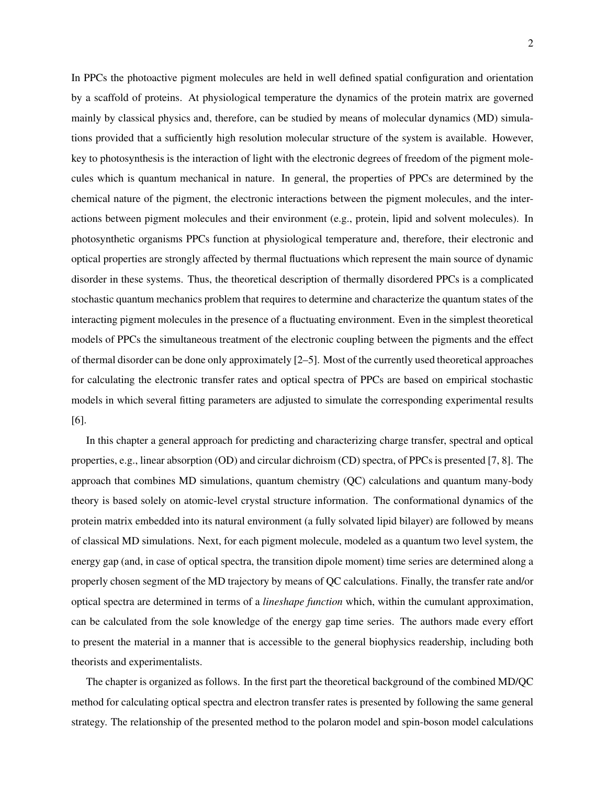In PPCs the photoactive pigment molecules are held in well defined spatial configuration and orientation by a scaffold of proteins. At physiological temperature the dynamics of the protein matrix are governed mainly by classical physics and, therefore, can be studied by means of molecular dynamics (MD) simulations provided that a sufficiently high resolution molecular structure of the system is available. However, key to photosynthesis is the interaction of light with the electronic degrees of freedom of the pigment molecules which is quantum mechanical in nature. In general, the properties of PPCs are determined by the chemical nature of the pigment, the electronic interactions between the pigment molecules, and the interactions between pigment molecules and their environment (e.g., protein, lipid and solvent molecules). In photosynthetic organisms PPCs function at physiological temperature and, therefore, their electronic and optical properties are strongly affected by thermal fluctuations which represent the main source of dynamic disorder in these systems. Thus, the theoretical description of thermally disordered PPCs is a complicated stochastic quantum mechanics problem that requires to determine and characterize the quantum states of the interacting pigment molecules in the presence of a fluctuating environment. Even in the simplest theoretical models of PPCs the simultaneous treatment of the electronic coupling between the pigments and the effect of thermal disorder can be done only approximately [2–5]. Most of the currently used theoretical approaches for calculating the electronic transfer rates and optical spectra of PPCs are based on empirical stochastic models in which several fitting parameters are adjusted to simulate the corresponding experimental results [6].

In this chapter a general approach for predicting and characterizing charge transfer, spectral and optical properties, e.g., linear absorption (OD) and circular dichroism (CD) spectra, of PPCs is presented [7, 8]. The approach that combines MD simulations, quantum chemistry (QC) calculations and quantum many-body theory is based solely on atomic-level crystal structure information. The conformational dynamics of the protein matrix embedded into its natural environment (a fully solvated lipid bilayer) are followed by means of classical MD simulations. Next, for each pigment molecule, modeled as a quantum two level system, the energy gap (and, in case of optical spectra, the transition dipole moment) time series are determined along a properly chosen segment of the MD trajectory by means of QC calculations. Finally, the transfer rate and/or optical spectra are determined in terms of a *lineshape function* which, within the cumulant approximation, can be calculated from the sole knowledge of the energy gap time series. The authors made every effort to present the material in a manner that is accessible to the general biophysics readership, including both theorists and experimentalists.

The chapter is organized as follows. In the first part the theoretical background of the combined MD/QC method for calculating optical spectra and electron transfer rates is presented by following the same general strategy. The relationship of the presented method to the polaron model and spin-boson model calculations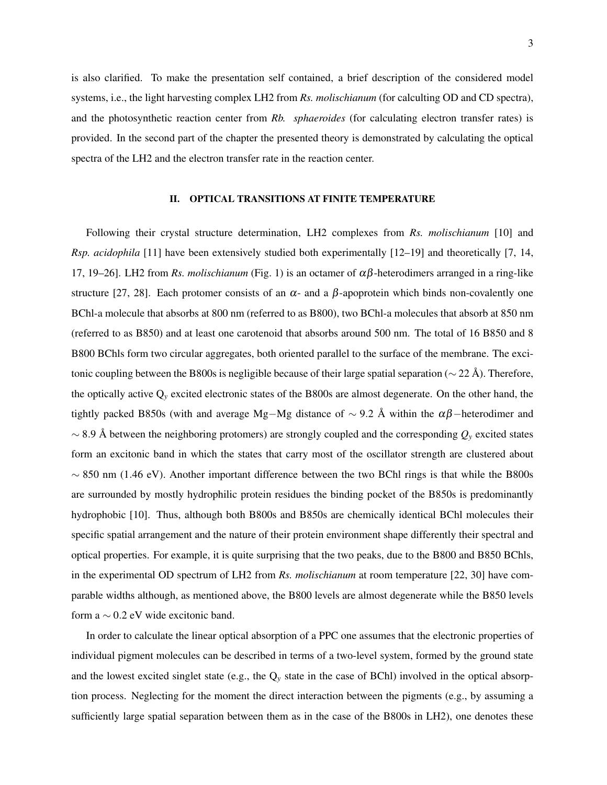is also clarified. To make the presentation self contained, a brief description of the considered model systems, i.e., the light harvesting complex LH2 from *Rs. molischianum* (for calculting OD and CD spectra), and the photosynthetic reaction center from *Rb. sphaeroides* (for calculating electron transfer rates) is provided. In the second part of the chapter the presented theory is demonstrated by calculating the optical spectra of the LH2 and the electron transfer rate in the reaction center.

### II. OPTICAL TRANSITIONS AT FINITE TEMPERATURE

Following their crystal structure determination, LH2 complexes from *Rs. molischianum* [10] and *Rsp. acidophila* [11] have been extensively studied both experimentally [12–19] and theoretically [7, 14, 17, 19–26]. LH2 from *Rs. molischianum* (Fig. 1) is an octamer of αβ-heterodimers arranged in a ring-like structure [27, 28]. Each protomer consists of an  $\alpha$ - and a  $\beta$ -apoprotein which binds non-covalently one BChl-a molecule that absorbs at 800 nm (referred to as B800), two BChl-a molecules that absorb at 850 nm (referred to as B850) and at least one carotenoid that absorbs around 500 nm. The total of 16 B850 and 8 B800 BChls form two circular aggregates, both oriented parallel to the surface of the membrane. The excitonic coupling between the B800s is negligible because of their large spatial separation ( $\sim$  22 Å). Therefore, the optically active Q*<sup>y</sup>* excited electronic states of the B800s are almost degenerate. On the other hand, the tightly packed B850s (with and average Mg–Mg distance of  $\sim$  9.2 Å within the  $\alpha\beta$ –heterodimer and ∼ 8.9 Å between the neighboring protomers) are strongly coupled and the corresponding  $Q_y$  excited states form an excitonic band in which the states that carry most of the oscillator strength are clustered about  $\sim$  850 nm (1.46 eV). Another important difference between the two BChl rings is that while the B800s are surrounded by mostly hydrophilic protein residues the binding pocket of the B850s is predominantly hydrophobic [10]. Thus, although both B800s and B850s are chemically identical BChl molecules their specific spatial arrangement and the nature of their protein environment shape differently their spectral and optical properties. For example, it is quite surprising that the two peaks, due to the B800 and B850 BChls, in the experimental OD spectrum of LH2 from *Rs. molischianum* at room temperature [22, 30] have comparable widths although, as mentioned above, the B800 levels are almost degenerate while the B850 levels form a  $\sim$  0.2 eV wide excitonic band.

In order to calculate the linear optical absorption of a PPC one assumes that the electronic properties of individual pigment molecules can be described in terms of a two-level system, formed by the ground state and the lowest excited singlet state (e.g., the Q*<sup>y</sup>* state in the case of BChl) involved in the optical absorption process. Neglecting for the moment the direct interaction between the pigments (e.g., by assuming a sufficiently large spatial separation between them as in the case of the B800s in LH2), one denotes these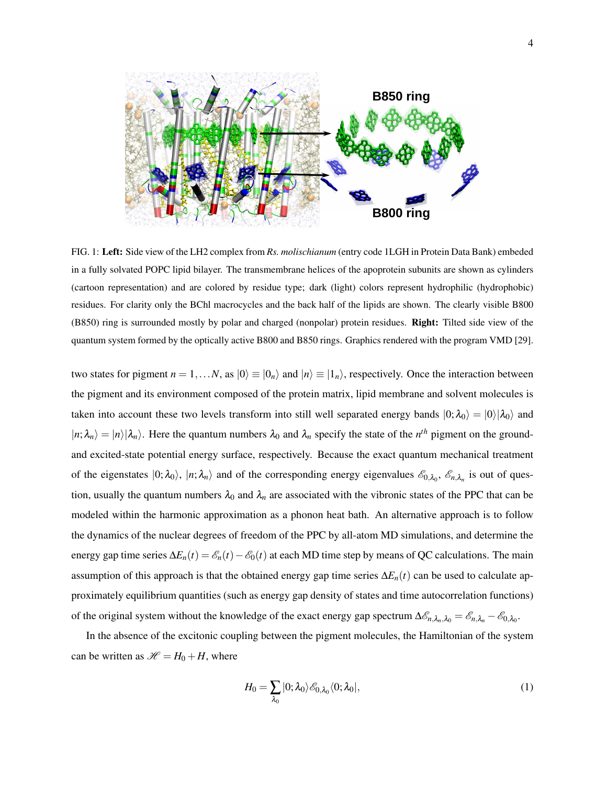

FIG. 1: Left: Side view of the LH2 complex from *Rs. molischianum* (entry code 1LGH in Protein Data Bank) embeded in a fully solvated POPC lipid bilayer. The transmembrane helices of the apoprotein subunits are shown as cylinders (cartoon representation) and are colored by residue type; dark (light) colors represent hydrophilic (hydrophobic) residues. For clarity only the BChl macrocycles and the back half of the lipids are shown. The clearly visible B800 (B850) ring is surrounded mostly by polar and charged (nonpolar) protein residues. Right: Tilted side view of the quantum system formed by the optically active B800 and B850 rings. Graphics rendered with the program VMD [29].

two states for pigment  $n = 1,...N$ , as  $|0\rangle \equiv |0_n\rangle$  and  $|n\rangle \equiv |1_n\rangle$ , respectively. Once the interaction between the pigment and its environment composed of the protein matrix, lipid membrane and solvent molecules is taken into account these two levels transform into still well separated energy bands  $|0; \lambda_0\rangle = |0\rangle |\lambda_0\rangle$  and  $|n; \lambda_n\rangle = |n\rangle |\lambda_n\rangle$ . Here the quantum numbers  $\lambda_0$  and  $\lambda_n$  specify the state of the *n*<sup>th</sup> pigment on the groundand excited-state potential energy surface, respectively. Because the exact quantum mechanical treatment of the eigenstates  $|0; \lambda_0\rangle$ ,  $|n; \lambda_n\rangle$  and of the corresponding energy eigenvalues  $\mathscr{E}_{0,\lambda_0}$ ,  $\mathscr{E}_{n,\lambda_n}$  is out of question, usually the quantum numbers  $\lambda_0$  and  $\lambda_n$  are associated with the vibronic states of the PPC that can be modeled within the harmonic approximation as a phonon heat bath. An alternative approach is to follow the dynamics of the nuclear degrees of freedom of the PPC by all-atom MD simulations, and determine the energy gap time series  $\Delta E_n(t) = \mathcal{E}_n(t) - \mathcal{E}_0(t)$  at each MD time step by means of QC calculations. The main assumption of this approach is that the obtained energy gap time series  $\Delta E_n(t)$  can be used to calculate approximately equilibrium quantities (such as energy gap density of states and time autocorrelation functions) of the original system without the knowledge of the exact energy gap spectrum  $\Delta \mathcal{E}_{n,\lambda_n,\lambda_0} = \mathcal{E}_{n,\lambda_n} - \mathcal{E}_{0,\lambda_0}$ .

In the absence of the excitonic coupling between the pigment molecules, the Hamiltonian of the system can be written as  $\mathcal{H} = H_0 + H$ , where

$$
H_0 = \sum_{\lambda_0} |0; \lambda_0\rangle \mathscr{E}_{0, \lambda_0} \langle 0; \lambda_0 |,
$$
 (1)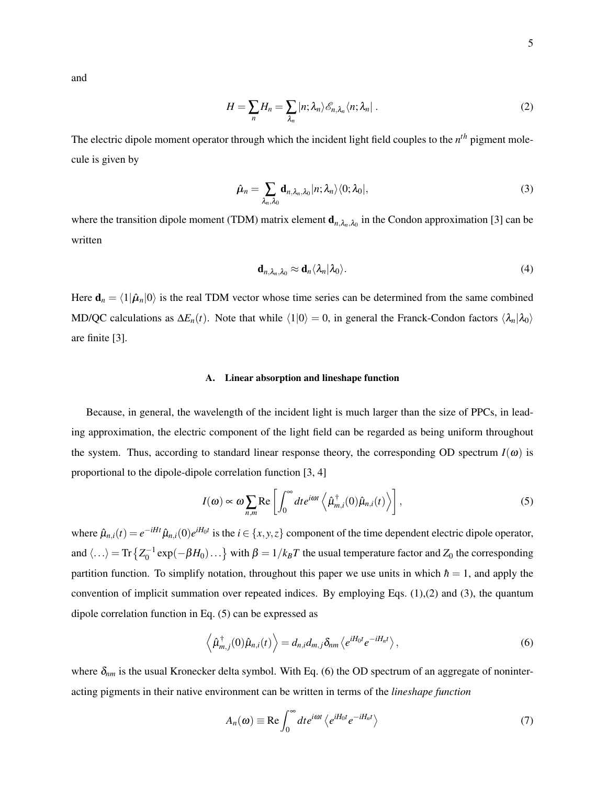and

$$
H = \sum_{n} H_n = \sum_{\lambda_n} |n; \lambda_n \rangle \mathcal{E}_{n, \lambda_n} \langle n; \lambda_n |.
$$
 (2)

The electric dipole moment operator through which the incident light field couples to the *n th* pigment molecule is given by

$$
\hat{\boldsymbol{\mu}}_n = \sum_{\lambda_n, \lambda_0} \mathbf{d}_{n, \lambda_n, \lambda_0} |n; \lambda_n \rangle \langle 0; \lambda_0 |,
$$
\n(3)

where the transition dipole moment (TDM) matrix element  $d_{n,\lambda_n,\lambda_0}$  in the Condon approximation [3] can be written

$$
\mathbf{d}_{n,\lambda_n,\lambda_0} \approx \mathbf{d}_n \langle \lambda_n | \lambda_0 \rangle. \tag{4}
$$

Here  $\mathbf{d}_n = \langle 1 | \hat{\boldsymbol{\mu}}_n | 0 \rangle$  is the real TDM vector whose time series can be determined from the same combined MD/QC calculations as  $\Delta E_n(t)$ . Note that while  $\langle 1|0 \rangle = 0$ , in general the Franck-Condon factors  $\langle \lambda_n | \lambda_0 \rangle$ are finite [3].

# A. Linear absorption and lineshape function

Because, in general, the wavelength of the incident light is much larger than the size of PPCs, in leading approximation, the electric component of the light field can be regarded as being uniform throughout the system. Thus, according to standard linear response theory, the corresponding OD spectrum  $I(\omega)$  is proportional to the dipole-dipole correlation function [3, 4]

$$
I(\omega) \propto \omega \sum_{n,m} \text{Re} \left[ \int_0^\infty dt e^{i\omega t} \left\langle \hat{\mu}^\dagger_{m,i}(0) \hat{\mu}_{n,i}(t) \right\rangle \right],\tag{5}
$$

where  $\hat{\mu}_{n,i}(t) = e^{-iHt} \hat{\mu}_{n,i}(0) e^{iH_0 t}$  is the  $i \in \{x, y, z\}$  component of the time dependent electric dipole operator, and  $\langle \ldots \rangle = \text{Tr} \left\{ Z_0^{-1} \exp(-\beta H_0) \ldots \right\}$  with  $\beta = 1/k_B T$  the usual temperature factor and  $Z_0$  the corresponding partition function. To simplify notation, throughout this paper we use units in which  $\hbar = 1$ , and apply the convention of implicit summation over repeated indices. By employing Eqs. (1),(2) and (3), the quantum dipole correlation function in Eq. (5) can be expressed as

$$
\left\langle \hat{\mu}_{m,j}^{\dagger}(0)\hat{\mu}_{n,i}(t) \right\rangle = d_{n,i}d_{m,j}\delta_{nm}\left\langle e^{iH_0t}e^{-iH_nt} \right\rangle, \tag{6}
$$

where  $\delta_{nm}$  is the usual Kronecker delta symbol. With Eq. (6) the OD spectrum of an aggregate of noninteracting pigments in their native environment can be written in terms of the *lineshape function*

$$
A_n(\omega) \equiv \text{Re} \int_0^\infty dt e^{i\omega t} \left\langle e^{iH_0 t} e^{-iH_n t} \right\rangle \tag{7}
$$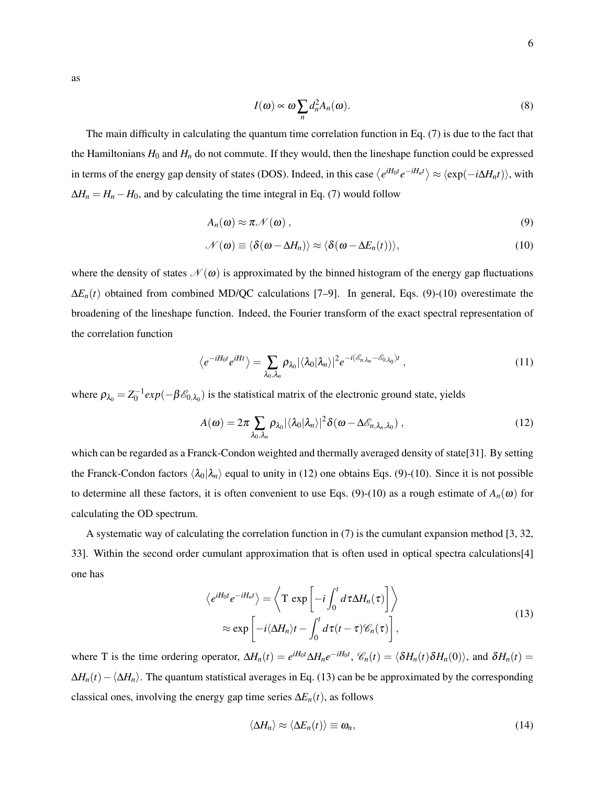$$
I(\omega) \propto \omega \sum_{n} d_n^2 A_n(\omega).
$$
 (8)

The main difficulty in calculating the quantum time correlation function in Eq. (7) is due to the fact that the Hamiltonians  $H_0$  and  $H_n$  do not commute. If they would, then the lineshape function could be expressed in terms of the energy gap density of states (DOS). Indeed, in this case  $\langle e^{iH_0t}e^{-iH_nt} \rangle \approx \langle \exp(-i\Delta H_nt) \rangle$ , with  $\Delta H_n = H_n - H_0$ , and by calculating the time integral in Eq. (7) would follow

$$
A_n(\omega) \approx \pi \mathcal{N}(\omega) \,, \tag{9}
$$

$$
\mathcal{N}(\boldsymbol{\omega}) \equiv \langle \delta(\boldsymbol{\omega} - \Delta H_n) \rangle \approx \langle \delta(\boldsymbol{\omega} - \Delta E_n(t)) \rangle, \tag{10}
$$

where the density of states  $\mathcal{N}(\omega)$  is approximated by the binned histogram of the energy gap fluctuations ∆*En*(*t*) obtained from combined MD/QC calculations [7–9]. In general, Eqs. (9)-(10) overestimate the broadening of the lineshape function. Indeed, the Fourier transform of the exact spectral representation of the correlation function

$$
\langle e^{-iH_0t}e^{iHt}\rangle = \sum_{\lambda_0,\lambda_n} \rho_{\lambda_0} |\langle \lambda_0 | \lambda_n \rangle|^2 e^{-i(\mathscr{E}_{n,\lambda_n} - \mathscr{E}_{0,\lambda_0})t} , \qquad (11)
$$

where  $\rho_{\lambda_0} = Z_0^{-1} exp(-\beta \mathcal{E}_{0,\lambda_0})$  is the statistical matrix of the electronic ground state, yields

$$
A(\omega) = 2\pi \sum_{\lambda_0, \lambda_n} \rho_{\lambda_0} |\langle \lambda_0 | \lambda_n \rangle|^2 \delta(\omega - \Delta \mathscr{E}_{n, \lambda_n, \lambda_0}), \qquad (12)
$$

which can be regarded as a Franck-Condon weighted and thermally averaged density of state[31]. By setting the Franck-Condon factors  $\langle \lambda_0 | \lambda_n \rangle$  equal to unity in (12) one obtains Eqs. (9)-(10). Since it is not possible to determine all these factors, it is often convenient to use Eqs. (9)-(10) as a rough estimate of  $A_n(\omega)$  for calculating the OD spectrum.

A systematic way of calculating the correlation function in (7) is the cumulant expansion method [3, 32, 33]. Within the second order cumulant approximation that is often used in optical spectra calculations[4] one has

$$
\langle e^{iH_0t} e^{-iH_n t} \rangle = \langle \mathbf{T} \exp \left[ -i \int_0^t d\tau \Delta H_n(\tau) \right] \rangle
$$
  
 
$$
\approx \exp \left[ -i \langle \Delta H_n \rangle t - \int_0^t d\tau (t - \tau) \mathcal{C}_n(\tau) \right],
$$
 (13)

where T is the time ordering operator,  $\Delta H_n(t) = e^{iH_0t} \Delta H_n e^{-iH_0t}$ ,  $\mathcal{C}_n(t) = \langle \delta H_n(t) \delta H_n(0) \rangle$ , and  $\delta H_n(t) =$  $\Delta H_n(t) - \langle \Delta H_n \rangle$ . The quantum statistical averages in Eq. (13) can be be approximated by the corresponding classical ones, involving the energy gap time series  $\Delta E_n(t)$ , as follows

$$
\langle \Delta H_n \rangle \approx \langle \Delta E_n(t) \rangle \equiv \omega_n, \tag{14}
$$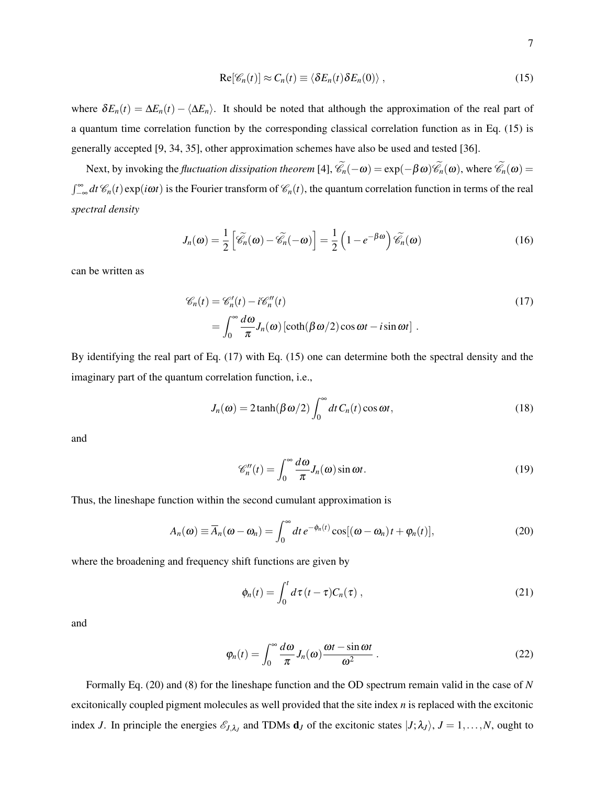$$
\operatorname{Re}[\mathscr{C}_n(t)] \approx C_n(t) \equiv \langle \delta E_n(t) \delta E_n(0) \rangle , \qquad (15)
$$

where  $\delta E_n(t) = \Delta E_n(t) - \langle \Delta E_n \rangle$ . It should be noted that although the approximation of the real part of a quantum time correlation function by the corresponding classical correlation function as in Eq. (15) is generally accepted [9, 34, 35], other approximation schemes have also be used and tested [36].

Next, by invoking the *fluctuation dissipation theorem* [4],  $\mathscr{C}_n(-\omega) = \exp(-\beta \omega)\mathscr{C}_n(\omega)$ , where  $\mathscr{C}_n(\omega) =$  $\int_{-\infty}^{\infty} dt \mathcal{C}_n(t) \exp(i\omega t)$  is the Fourier transform of  $\mathcal{C}_n(t)$ , the quantum correlation function in terms of the real *spectral density*

$$
J_n(\boldsymbol{\omega}) = \frac{1}{2} \left[ \widetilde{\mathscr{C}}_n(\boldsymbol{\omega}) - \widetilde{\mathscr{C}}_n(-\boldsymbol{\omega}) \right] = \frac{1}{2} \left( 1 - e^{-\beta \boldsymbol{\omega}} \right) \widetilde{\mathscr{C}}_n(\boldsymbol{\omega}) \tag{16}
$$

can be written as

$$
\mathcal{C}_n(t) = \mathcal{C}_n'(t) - i\mathcal{C}_n''(t)
$$
  
= 
$$
\int_0^\infty \frac{d\omega}{\pi} J_n(\omega) \left[ \coth(\beta \omega/2) \cos \omega t - i \sin \omega t \right].
$$
 (17)

By identifying the real part of Eq. (17) with Eq. (15) one can determine both the spectral density and the imaginary part of the quantum correlation function, i.e.,

$$
J_n(\omega) = 2 \tanh(\beta \omega/2) \int_0^\infty dt \, C_n(t) \cos \omega t, \tag{18}
$$

and

$$
\mathscr{C}_n''(t) = \int_0^\infty \frac{d\omega}{\pi} J_n(\omega) \sin \omega t.
$$
 (19)

Thus, the lineshape function within the second cumulant approximation is

$$
A_n(\boldsymbol{\omega}) \equiv \overline{A}_n(\boldsymbol{\omega} - \boldsymbol{\omega}_n) = \int_0^\infty dt \, e^{-\phi_n(t)} \cos[(\boldsymbol{\omega} - \boldsymbol{\omega}_n)t + \varphi_n(t)], \tag{20}
$$

where the broadening and frequency shift functions are given by

$$
\phi_n(t) = \int_0^t d\tau (t - \tau) C_n(\tau) , \qquad (21)
$$

and

$$
\varphi_n(t) = \int_0^\infty \frac{d\omega}{\pi} J_n(\omega) \frac{\omega t - \sin \omega t}{\omega^2} \,. \tag{22}
$$

Formally Eq. (20) and (8) for the lineshape function and the OD spectrum remain valid in the case of *N* excitonically coupled pigment molecules as well provided that the site index *n* is replaced with the excitonic index *J*. In principle the energies  $\mathcal{E}_{J,\lambda_J}$  and TDMs  $\mathbf{d}_J$  of the excitonic states  $|J;\lambda_J\rangle$ ,  $J=1,\ldots,N$ , ought to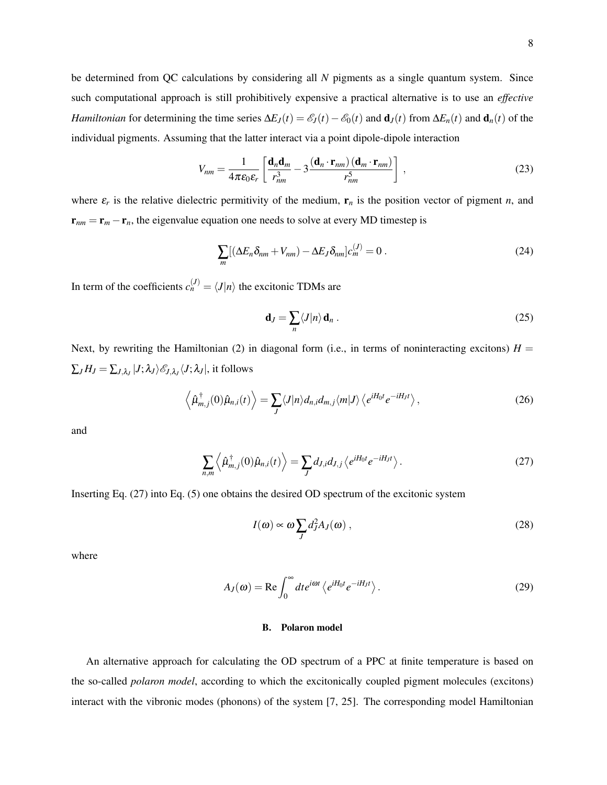be determined from QC calculations by considering all *N* pigments as a single quantum system. Since such computational approach is still prohibitively expensive a practical alternative is to use an *effective Hamiltonian* for determining the time series  $\Delta E_J(t) = \mathcal{E}_J(t) - \mathcal{E}_0(t)$  and  $\mathbf{d}_J(t)$  from  $\Delta E_n(t)$  and  $\mathbf{d}_n(t)$  of the individual pigments. Assuming that the latter interact via a point dipole-dipole interaction

$$
V_{nm} = \frac{1}{4\pi\epsilon_0 \epsilon_r} \left[ \frac{\mathbf{d}_n \mathbf{d}_m}{r_{nm}^3} - 3 \frac{(\mathbf{d}_n \cdot \mathbf{r}_{nm})(\mathbf{d}_m \cdot \mathbf{r}_{nm})}{r_{nm}^5} \right],
$$
(23)

where  $\varepsilon_r$  is the relative dielectric permitivity of the medium,  $\mathbf{r}_n$  is the position vector of pigment *n*, and  $\mathbf{r}_{nm} = \mathbf{r}_m - \mathbf{r}_n$ , the eigenvalue equation one needs to solve at every MD timestep is

$$
\sum_{m} [(\Delta E_n \delta_{nm} + V_{nm}) - \Delta E_J \delta_{nm}] c_m^{(J)} = 0.
$$
 (24)

In term of the coefficients  $c_n^{(J)} = \langle J | n \rangle$  the excitonic TDMs are

$$
\mathbf{d}_J = \sum_n \langle J | n \rangle \, \mathbf{d}_n \,. \tag{25}
$$

Next, by rewriting the Hamiltonian (2) in diagonal form (i.e., in terms of noninteracting excitons)  $H =$  $\sum_{J} H_J = \sum_{J,\lambda_J} |J;\lambda_J\rangle \mathscr{E}_{J,\lambda_J} \langle J;\lambda_J|,$  it follows

$$
\left\langle \hat{\mu}_{m,j}^{\dagger}(0)\hat{\mu}_{n,i}(t) \right\rangle = \sum_{J} \langle J|n\rangle d_{n,i} d_{m,j} \langle m|J\rangle \left\langle e^{iH_0 t} e^{-iH_J t} \right\rangle, \tag{26}
$$

and

$$
\sum_{n,m} \left\langle \hat{\mu}_{m,j}^{\dagger}(0) \hat{\mu}_{n,i}(t) \right\rangle = \sum_{J} d_{J,i} d_{J,j} \left\langle e^{iH_0 t} e^{-iH_J t} \right\rangle. \tag{27}
$$

Inserting Eq. (27) into Eq. (5) one obtains the desired OD spectrum of the excitonic system

$$
I(\omega) \propto \omega \sum_{J} d_{J}^{2} A_{J}(\omega) , \qquad (28)
$$

where

$$
A_J(\omega) = \text{Re} \int_0^\infty dt e^{i\omega t} \left\langle e^{iH_0 t} e^{-iH_J t} \right\rangle.
$$
 (29)

# B. Polaron model

An alternative approach for calculating the OD spectrum of a PPC at finite temperature is based on the so-called *polaron model*, according to which the excitonically coupled pigment molecules (excitons) interact with the vibronic modes (phonons) of the system [7, 25]. The corresponding model Hamiltonian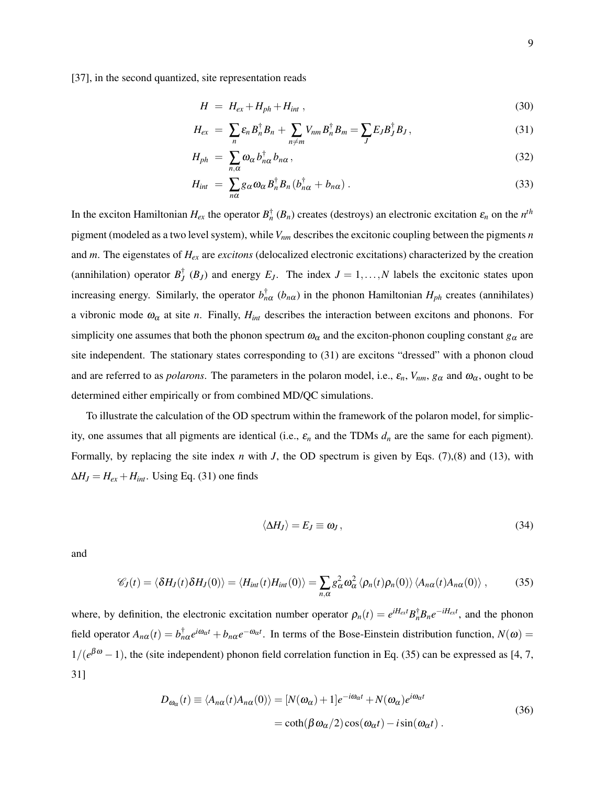$$
H = H_{ex} + H_{ph} + H_{int} \tag{30}
$$

$$
H_{ex} = \sum_{n} \varepsilon_n B_n^{\dagger} B_n + \sum_{n \neq m} V_{nm} B_n^{\dagger} B_m = \sum_{J} E_J B_J^{\dagger} B_J, \qquad (31)
$$

$$
H_{ph} = \sum_{n,\alpha} \omega_{\alpha} b_{n\alpha}^{\dagger} b_{n\alpha}, \qquad (32)
$$

$$
H_{int} = \sum_{n\alpha} g_{\alpha} \omega_{\alpha} B_n^{\dagger} B_n (b_{n\alpha}^{\dagger} + b_{n\alpha}). \qquad (33)
$$

In the exciton Hamiltonian  $H_{ex}$  the operator  $B_n^{\dagger}(B_n)$  creates (destroys) an electronic excitation  $\varepsilon_n$  on the  $n^{th}$ pigment (modeled as a two level system), while*Vnm* describes the excitonic coupling between the pigments *n* and *m*. The eigenstates of *Hex* are *excitons* (delocalized electronic excitations) characterized by the creation (annihilation) operator  $B_J^{\dagger}$  ( $B_J$ ) and energy  $E_J$ . The index  $J = 1, ..., N$  labels the excitonic states upon increasing energy. Similarly, the operator  $b_{n\alpha}^{\dagger}$  ( $b_{n\alpha}$ ) in the phonon Hamiltonian  $H_{ph}$  creates (annihilates) a vibronic mode  $\omega_{\alpha}$  at site *n*. Finally,  $H_{int}$  describes the interaction between excitons and phonons. For simplicity one assumes that both the phonon spectrum  $\omega_{\alpha}$  and the exciton-phonon coupling constant  $g_{\alpha}$  are site independent. The stationary states corresponding to (31) are excitons "dressed" with a phonon cloud and are referred to as *polarons*. The parameters in the polaron model, i.e.,  $\varepsilon_n$ ,  $V_{nm}$ ,  $g_\alpha$  and  $\omega_\alpha$ , ought to be determined either empirically or from combined MD/QC simulations.

To illustrate the calculation of the OD spectrum within the framework of the polaron model, for simplicity, one assumes that all pigments are identical (i.e., ε*<sup>n</sup>* and the TDMs *d<sup>n</sup>* are the same for each pigment). Formally, by replacing the site index *n* with *J*, the OD spectrum is given by Eqs. (7),(8) and (13), with  $\Delta H_J = H_{ex} + H_{int}$ . Using Eq. (31) one finds

$$
\langle \Delta H_J \rangle = E_J \equiv \omega_J \,, \tag{34}
$$

and

$$
\mathscr{C}_J(t) = \langle \delta H_J(t) \delta H_J(0) \rangle = \langle H_{int}(t) H_{int}(0) \rangle = \sum_{n,\alpha} g_{\alpha}^2 \omega_{\alpha}^2 \langle \rho_n(t) \rho_n(0) \rangle \langle A_{n\alpha}(t) A_{n\alpha}(0) \rangle , \qquad (35)
$$

where, by definition, the electronic excitation number operator  $\rho_n(t) = e^{iH_{ext}} B_n^{\dagger} B_n e^{-iH_{ext}}$ , and the phonon field operator  $A_{n\alpha}(t) = b_{n\alpha}^{\dagger}e^{i\omega_{\alpha}t} + b_{n\alpha}e^{-\omega_{\alpha}t}$ . In terms of the Bose-Einstein distribution function,  $N(\omega)$  =  $1/(e^{\beta \omega} - 1)$ , the (site independent) phonon field correlation function in Eq. (35) can be expressed as [4, 7, 31]

$$
D_{\omega_{\alpha}}(t) \equiv \langle A_{n\alpha}(t)A_{n\alpha}(0) \rangle = [N(\omega_{\alpha}) + 1]e^{-i\omega_{\alpha}t} + N(\omega_{\alpha})e^{i\omega_{\alpha}t}
$$
  
=  $\coth(\beta \omega_{\alpha}/2) \cos(\omega_{\alpha}t) - i\sin(\omega_{\alpha}t)$ . (36)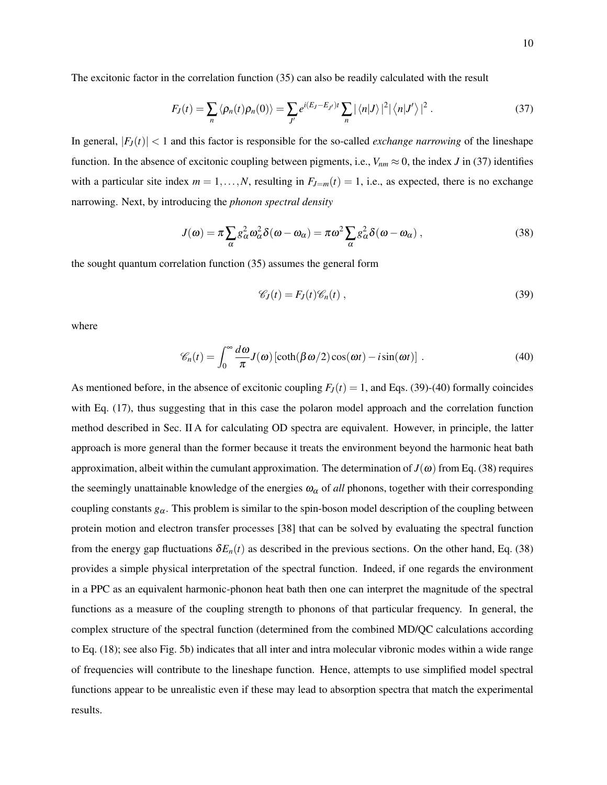The excitonic factor in the correlation function (35) can also be readily calculated with the result

$$
F_J(t) = \sum_n \langle \rho_n(t) \rho_n(0) \rangle = \sum_{J'} e^{i(E_J - E_{J'})t} \sum_n |\langle n|J \rangle|^2 |\langle n|J' \rangle|^2.
$$
 (37)

In general,  $|F_J(t)| < 1$  and this factor is responsible for the so-called *exchange narrowing* of the lineshape function. In the absence of excitonic coupling between pigments, i.e.,  $V_{nm} \approx 0$ , the index *J* in (37) identifies with a particular site index  $m = 1, ..., N$ , resulting in  $F_{J=m}(t) = 1$ , i.e., as expected, there is no exchange narrowing. Next, by introducing the *phonon spectral density*

$$
J(\omega) = \pi \sum_{\alpha} g_{\alpha}^2 \omega_{\alpha}^2 \delta(\omega - \omega_{\alpha}) = \pi \omega^2 \sum_{\alpha} g_{\alpha}^2 \delta(\omega - \omega_{\alpha}), \qquad (38)
$$

the sought quantum correlation function (35) assumes the general form

$$
\mathscr{C}_J(t) = F_J(t)\mathscr{C}_n(t) , \qquad (39)
$$

where

$$
\mathscr{C}_n(t) = \int_0^\infty \frac{d\omega}{\pi} J(\omega) \left[ \coth(\beta \omega/2) \cos(\omega t) - i \sin(\omega t) \right]. \tag{40}
$$

As mentioned before, in the absence of excitonic coupling  $F<sub>J</sub>(t) = 1$ , and Eqs. (39)-(40) formally coincides with Eq. (17), thus suggesting that in this case the polaron model approach and the correlation function method described in Sec. II A for calculating OD spectra are equivalent. However, in principle, the latter approach is more general than the former because it treats the environment beyond the harmonic heat bath approximation, albeit within the cumulant approximation. The determination of  $J(\omega)$  from Eq. (38) requires the seemingly unattainable knowledge of the energies  $\omega_{\alpha}$  of *all* phonons, together with their corresponding coupling constants  $g_\alpha$ . This problem is similar to the spin-boson model description of the coupling between protein motion and electron transfer processes [38] that can be solved by evaluating the spectral function from the energy gap fluctuations  $\delta E_n(t)$  as described in the previous sections. On the other hand, Eq. (38) provides a simple physical interpretation of the spectral function. Indeed, if one regards the environment in a PPC as an equivalent harmonic-phonon heat bath then one can interpret the magnitude of the spectral functions as a measure of the coupling strength to phonons of that particular frequency. In general, the complex structure of the spectral function (determined from the combined MD/QC calculations according to Eq. (18); see also Fig. 5b) indicates that all inter and intra molecular vibronic modes within a wide range of frequencies will contribute to the lineshape function. Hence, attempts to use simplified model spectral functions appear to be unrealistic even if these may lead to absorption spectra that match the experimental results.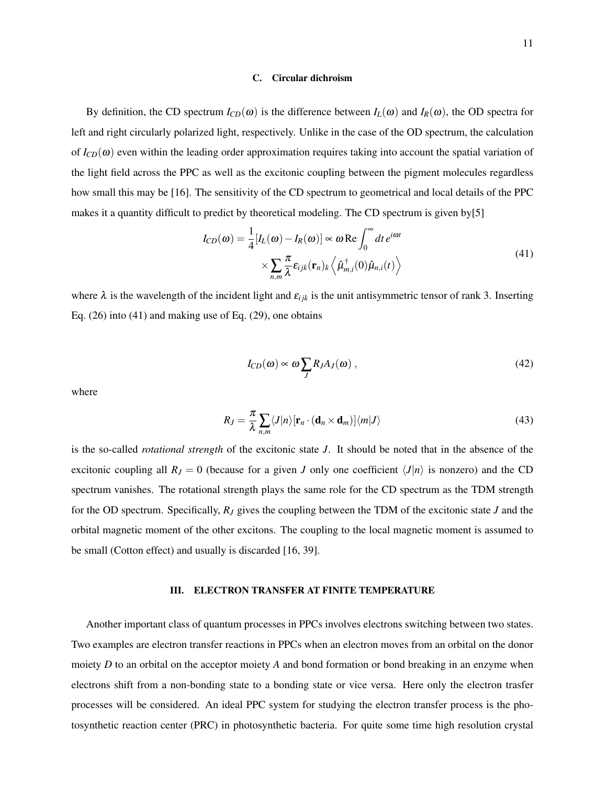#### C. Circular dichroism

By definition, the CD spectrum  $I_{CD}(\omega)$  is the difference between  $I_L(\omega)$  and  $I_R(\omega)$ , the OD spectra for left and right circularly polarized light, respectively. Unlike in the case of the OD spectrum, the calculation of  $I_{CD}(\omega)$  even within the leading order approximation requires taking into account the spatial variation of the light field across the PPC as well as the excitonic coupling between the pigment molecules regardless how small this may be [16]. The sensitivity of the CD spectrum to geometrical and local details of the PPC makes it a quantity difficult to predict by theoretical modeling. The CD spectrum is given by[5]

$$
I_{CD}(\omega) = \frac{1}{4} [I_L(\omega) - I_R(\omega)] \propto \omega \operatorname{Re} \int_0^\infty dt \, e^{i\omega t}
$$
  
 
$$
\times \sum_{n,m} \frac{\pi}{\lambda} \varepsilon_{ijk}(\mathbf{r}_n)_k \left\langle \hat{\mu}^{\dagger}_{m,i}(0) \hat{\mu}_{n,i}(t) \right\rangle
$$
 (41)

where  $\lambda$  is the wavelength of the incident light and  $\varepsilon_{ijk}$  is the unit antisymmetric tensor of rank 3. Inserting Eq. (26) into (41) and making use of Eq. (29), one obtains

$$
I_{CD}(\omega) \propto \omega \sum_{J} R_{J} A_{J}(\omega) , \qquad (42)
$$

where

$$
R_J = \frac{\pi}{\lambda} \sum_{n,m} \langle J|n \rangle [\mathbf{r}_n \cdot (\mathbf{d}_n \times \mathbf{d}_m)] \langle m|J \rangle \tag{43}
$$

is the so-called *rotational strength* of the excitonic state *J*. It should be noted that in the absence of the excitonic coupling all  $R_J = 0$  (because for a given *J* only one coefficient  $\langle J | n \rangle$  is nonzero) and the CD spectrum vanishes. The rotational strength plays the same role for the CD spectrum as the TDM strength for the OD spectrum. Specifically, *R<sup>J</sup>* gives the coupling between the TDM of the excitonic state *J* and the orbital magnetic moment of the other excitons. The coupling to the local magnetic moment is assumed to be small (Cotton effect) and usually is discarded [16, 39].

### III. ELECTRON TRANSFER AT FINITE TEMPERATURE

Another important class of quantum processes in PPCs involves electrons switching between two states. Two examples are electron transfer reactions in PPCs when an electron moves from an orbital on the donor moiety *D* to an orbital on the acceptor moiety *A* and bond formation or bond breaking in an enzyme when electrons shift from a non-bonding state to a bonding state or vice versa. Here only the electron trasfer processes will be considered. An ideal PPC system for studying the electron transfer process is the photosynthetic reaction center (PRC) in photosynthetic bacteria. For quite some time high resolution crystal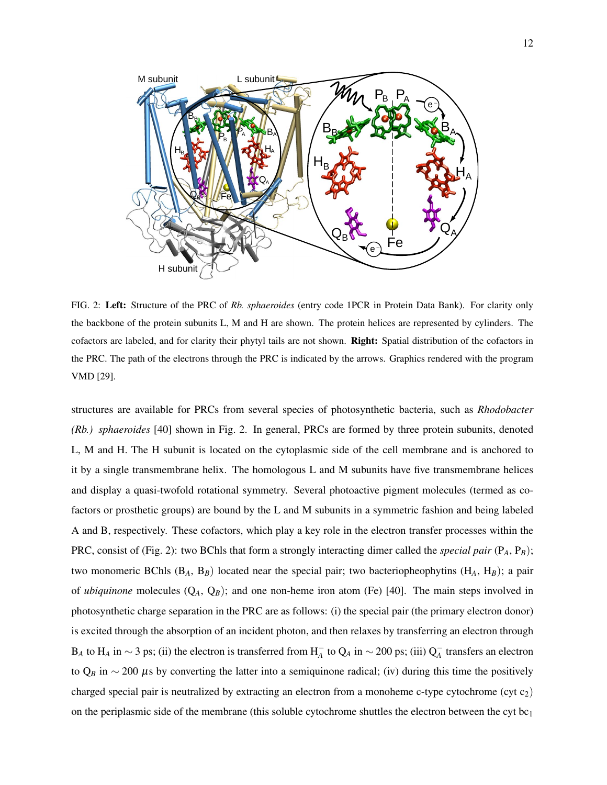

FIG. 2: Left: Structure of the PRC of *Rb. sphaeroides* (entry code 1PCR in Protein Data Bank). For clarity only the backbone of the protein subunits L, M and H are shown. The protein helices are represented by cylinders. The cofactors are labeled, and for clarity their phytyl tails are not shown. Right: Spatial distribution of the cofactors in the PRC. The path of the electrons through the PRC is indicated by the arrows. Graphics rendered with the program VMD [29].

structures are available for PRCs from several species of photosynthetic bacteria, such as *Rhodobacter (Rb.) sphaeroides* [40] shown in Fig. 2. In general, PRCs are formed by three protein subunits, denoted L, M and H. The H subunit is located on the cytoplasmic side of the cell membrane and is anchored to it by a single transmembrane helix. The homologous L and M subunits have five transmembrane helices and display a quasi-twofold rotational symmetry. Several photoactive pigment molecules (termed as cofactors or prosthetic groups) are bound by the L and M subunits in a symmetric fashion and being labeled A and B, respectively. These cofactors, which play a key role in the electron transfer processes within the PRC, consist of (Fig. 2): two BChls that form a strongly interacting dimer called the *special pair* (P*A*, P*B*); two monomeric BChls (B*A*, B*B*) located near the special pair; two bacteriopheophytins (H*A*, H*B*); a pair of *ubiquinone* molecules (Q*A*, Q*B*); and one non-heme iron atom (Fe) [40]. The main steps involved in photosynthetic charge separation in the PRC are as follows: (i) the special pair (the primary electron donor) is excited through the absorption of an incident photon, and then relaxes by transferring an electron through  $B_A$  to  $H_A$  in  $\sim$  3 ps; (ii) the electron is transferred from  $H_A^-$  to  $Q_A$  in  $\sim$  200 ps; (iii)  $Q_A^-$  transfers an electron to  $Q_B$  in  $\sim$  200  $\mu$ s by converting the latter into a semiquinone radical; (iv) during this time the positively charged special pair is neutralized by extracting an electron from a monoheme c-type cytochrome (cyt  $c_2$ ) on the periplasmic side of the membrane (this soluble cytochrome shuttles the electron between the cyt bc<sub>1</sub>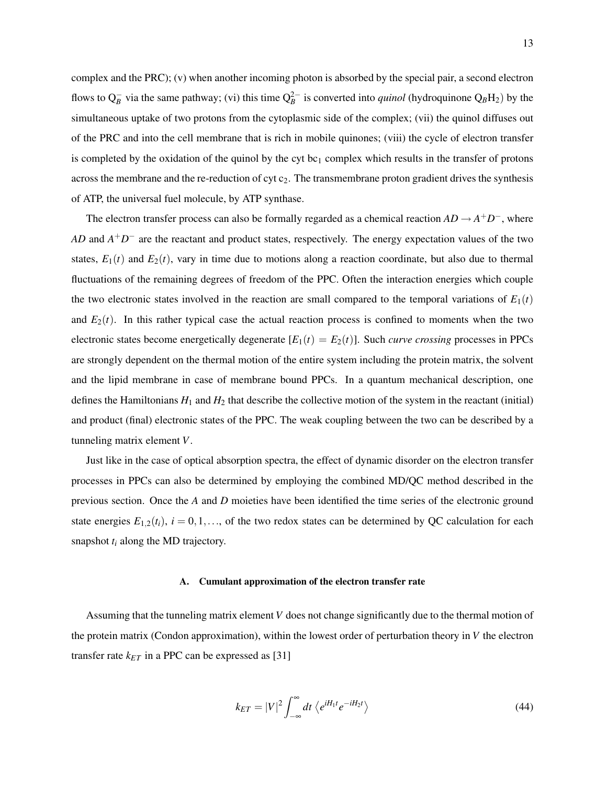complex and the PRC); (v) when another incoming photon is absorbed by the special pair, a second electron flows to  $Q_B^-$  via the same pathway; (vi) this time  $Q_B^{2-}$  is converted into *quinol* (hydroquinone  $Q_BH_2$ ) by the simultaneous uptake of two protons from the cytoplasmic side of the complex; (vii) the quinol diffuses out of the PRC and into the cell membrane that is rich in mobile quinones; (viii) the cycle of electron transfer is completed by the oxidation of the quinol by the cyt bc<sub>1</sub> complex which results in the transfer of protons across the membrane and the re-reduction of cyt  $c_2$ . The transmembrane proton gradient drives the synthesis of ATP, the universal fuel molecule, by ATP synthase.

The electron transfer process can also be formally regarded as a chemical reaction  $AD \rightarrow A^+D^-$ , where *AD* and *A*<sup>+</sup>*D*<sup>−</sup> are the reactant and product states, respectively. The energy expectation values of the two states,  $E_1(t)$  and  $E_2(t)$ , vary in time due to motions along a reaction coordinate, but also due to thermal fluctuations of the remaining degrees of freedom of the PPC. Often the interaction energies which couple the two electronic states involved in the reaction are small compared to the temporal variations of  $E_1(t)$ and  $E_2(t)$ . In this rather typical case the actual reaction process is confined to moments when the two electronic states become energetically degenerate  $[E_1(t) = E_2(t)]$ . Such *curve crossing* processes in PPCs are strongly dependent on the thermal motion of the entire system including the protein matrix, the solvent and the lipid membrane in case of membrane bound PPCs. In a quantum mechanical description, one defines the Hamiltonians  $H_1$  and  $H_2$  that describe the collective motion of the system in the reactant (initial) and product (final) electronic states of the PPC. The weak coupling between the two can be described by a tunneling matrix element *V*.

Just like in the case of optical absorption spectra, the effect of dynamic disorder on the electron transfer processes in PPCs can also be determined by employing the combined MD/QC method described in the previous section. Once the *A* and *D* moieties have been identified the time series of the electronic ground state energies  $E_{1,2}(t_i)$ ,  $i = 0,1,...$ , of the two redox states can be determined by QC calculation for each snapshot *t<sup>i</sup>* along the MD trajectory.

#### A. Cumulant approximation of the electron transfer rate

Assuming that the tunneling matrix element *V* does not change significantly due to the thermal motion of the protein matrix (Condon approximation), within the lowest order of perturbation theory in *V* the electron transfer rate  $k_{ET}$  in a PPC can be expressed as [31]

$$
k_{ET} = |V|^2 \int_{-\infty}^{\infty} dt \left\langle e^{iH_1 t} e^{-iH_2 t} \right\rangle \tag{44}
$$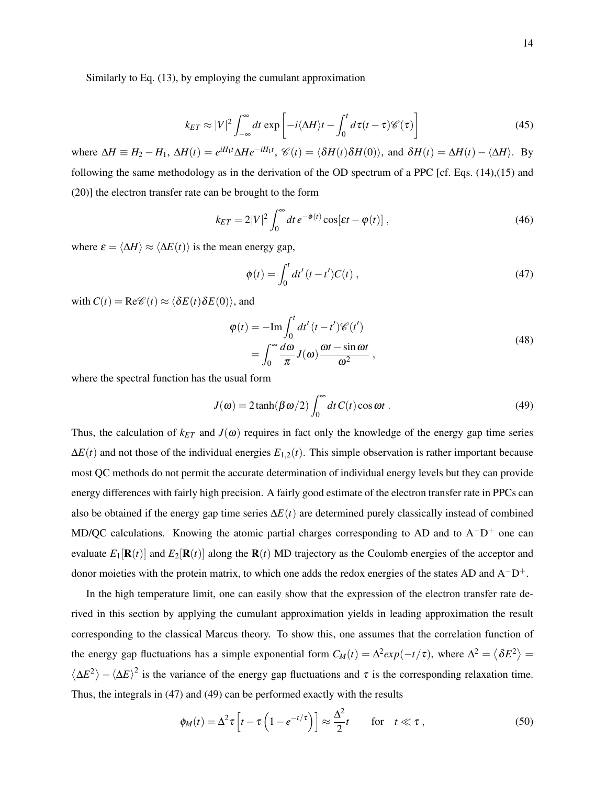$$
k_{ET} \approx |V|^2 \int_{-\infty}^{\infty} dt \exp\left[-i\langle \Delta H \rangle t - \int_0^t d\tau (t-\tau) \mathscr{C}(\tau)\right]
$$
(45)

where  $\Delta H \equiv H_2 - H_1$ ,  $\Delta H(t) = e^{iH_1t} \Delta H e^{-iH_1t}$ ,  $\mathcal{C}(t) = \langle \delta H(t) \delta H(0) \rangle$ , and  $\delta H(t) = \Delta H(t) - \langle \Delta H \rangle$ . By following the same methodology as in the derivation of the OD spectrum of a PPC [cf. Eqs. (14),(15) and (20)] the electron transfer rate can be brought to the form

$$
k_{ET} = 2|V|^2 \int_0^\infty dt \, e^{-\phi(t)} \cos[\varepsilon t - \phi(t)] \,,\tag{46}
$$

where  $\varepsilon = \langle \Delta H \rangle \approx \langle \Delta E(t) \rangle$  is the mean energy gap,

$$
\phi(t) = \int_0^t dt' (t - t') C(t) , \qquad (47)
$$

with  $C(t) = \text{Re}\mathcal{C}(t) \approx \langle \delta E(t) \delta E(0) \rangle$ , and

$$
\varphi(t) = -\mathrm{Im} \int_0^t dt' (t - t') \mathcal{C}(t')
$$
  
= 
$$
\int_0^\infty \frac{d\omega}{\pi} J(\omega) \frac{\omega t - \sin \omega t}{\omega^2},
$$
 (48)

where the spectral function has the usual form

$$
J(\omega) = 2 \tanh(\beta \omega/2) \int_0^\infty dt \, C(t) \cos \omega t \,. \tag{49}
$$

Thus, the calculation of  $k_{ET}$  and  $J(\omega)$  requires in fact only the knowledge of the energy gap time series  $\Delta E(t)$  and not those of the individual energies  $E_{1,2}(t)$ . This simple observation is rather important because most QC methods do not permit the accurate determination of individual energy levels but they can provide energy differences with fairly high precision. A fairly good estimate of the electron transfer rate in PPCs can also be obtained if the energy gap time series ∆*E*(*t*) are determined purely classically instead of combined MD/QC calculations. Knowing the atomic partial charges corresponding to AD and to  $A^-D^+$  one can evaluate  $E_1[\mathbf{R}(t)]$  and  $E_2[\mathbf{R}(t)]$  along the  $\mathbf{R}(t)$  MD trajectory as the Coulomb energies of the acceptor and donor moieties with the protein matrix, to which one adds the redox energies of the states AD and  $A-D^+$ .

In the high temperature limit, one can easily show that the expression of the electron transfer rate derived in this section by applying the cumulant approximation yields in leading approximation the result corresponding to the classical Marcus theory. To show this, one assumes that the correlation function of the energy gap fluctuations has a simple exponential form  $C_M(t) = \Delta^2 exp(-t/\tau)$ , where  $\Delta^2 = \langle \delta E^2 \rangle =$  $\langle \Delta E^2 \rangle - \langle \Delta E \rangle^2$  is the variance of the energy gap fluctuations and  $\tau$  is the corresponding relaxation time. Thus, the integrals in (47) and (49) can be performed exactly with the results

$$
\phi_M(t) = \Delta^2 \tau \left[ t - \tau \left( 1 - e^{-t/\tau} \right) \right] \approx \frac{\Delta^2}{2} t \quad \text{for} \quad t \ll \tau , \tag{50}
$$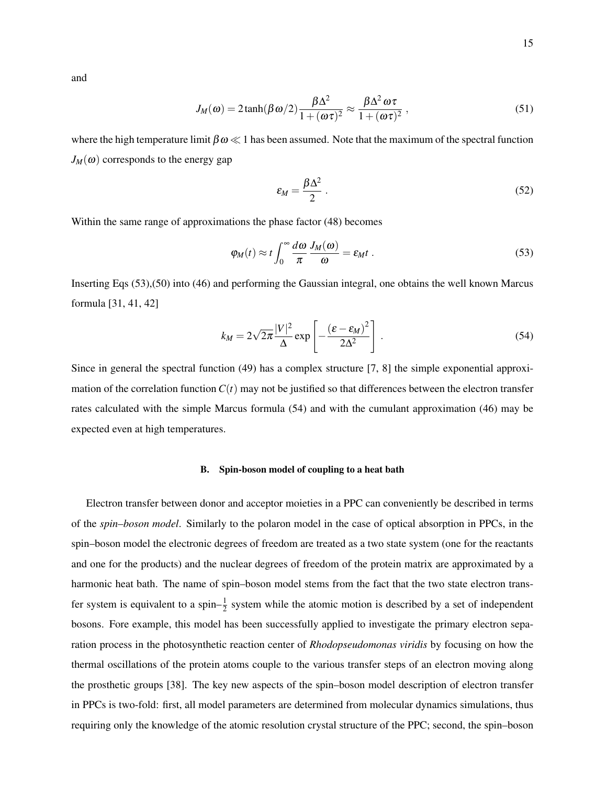and

$$
J_M(\omega) = 2 \tanh(\beta \omega/2) \frac{\beta \Delta^2}{1 + (\omega \tau)^2} \approx \frac{\beta \Delta^2 \omega \tau}{1 + (\omega \tau)^2},
$$
\n(51)

where the high temperature limit  $\beta \omega \ll 1$  has been assumed. Note that the maximum of the spectral function  $J_M(\omega)$  corresponds to the energy gap

$$
\varepsilon_M = \frac{\beta \Delta^2}{2} \,. \tag{52}
$$

Within the same range of approximations the phase factor (48) becomes

$$
\varphi_M(t) \approx t \int_0^\infty \frac{d\omega}{\pi} \frac{J_M(\omega)}{\omega} = \varepsilon_M t \; . \tag{53}
$$

Inserting Eqs (53),(50) into (46) and performing the Gaussian integral, one obtains the well known Marcus formula [31, 41, 42]

$$
k_M = 2\sqrt{2\pi} \frac{|V|^2}{\Delta} \exp\left[-\frac{(\varepsilon - \varepsilon_M)^2}{2\Delta^2}\right].
$$
 (54)

Since in general the spectral function (49) has a complex structure [7, 8] the simple exponential approximation of the correlation function  $C(t)$  may not be justified so that differences between the electron transfer rates calculated with the simple Marcus formula (54) and with the cumulant approximation (46) may be expected even at high temperatures.

# B. Spin-boson model of coupling to a heat bath

Electron transfer between donor and acceptor moieties in a PPC can conveniently be described in terms of the *spin–boson model*. Similarly to the polaron model in the case of optical absorption in PPCs, in the spin–boson model the electronic degrees of freedom are treated as a two state system (one for the reactants and one for the products) and the nuclear degrees of freedom of the protein matrix are approximated by a harmonic heat bath. The name of spin–boson model stems from the fact that the two state electron transfer system is equivalent to a spin– $\frac{1}{2}$  system while the atomic motion is described by a set of independent bosons. Fore example, this model has been successfully applied to investigate the primary electron separation process in the photosynthetic reaction center of *Rhodopseudomonas viridis* by focusing on how the thermal oscillations of the protein atoms couple to the various transfer steps of an electron moving along the prosthetic groups [38]. The key new aspects of the spin–boson model description of electron transfer in PPCs is two-fold: first, all model parameters are determined from molecular dynamics simulations, thus requiring only the knowledge of the atomic resolution crystal structure of the PPC; second, the spin–boson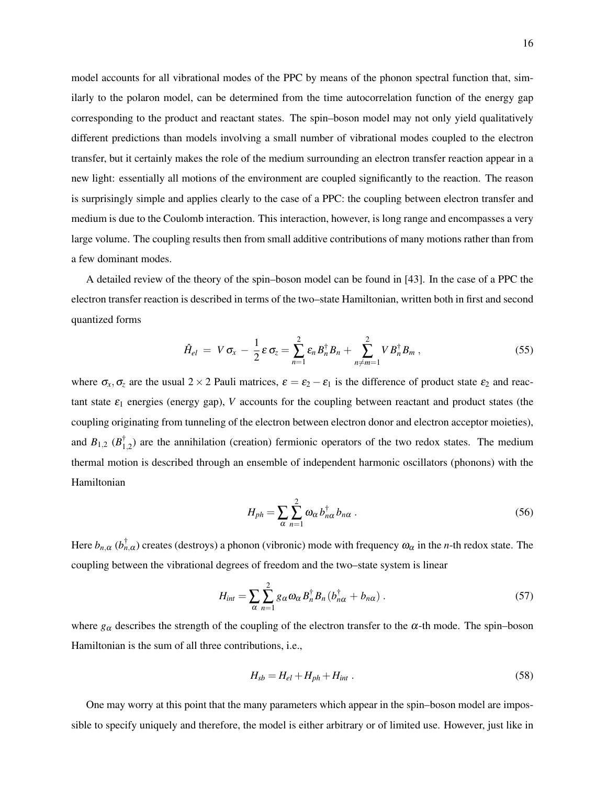model accounts for all vibrational modes of the PPC by means of the phonon spectral function that, similarly to the polaron model, can be determined from the time autocorrelation function of the energy gap corresponding to the product and reactant states. The spin–boson model may not only yield qualitatively different predictions than models involving a small number of vibrational modes coupled to the electron transfer, but it certainly makes the role of the medium surrounding an electron transfer reaction appear in a new light: essentially all motions of the environment are coupled significantly to the reaction. The reason is surprisingly simple and applies clearly to the case of a PPC: the coupling between electron transfer and medium is due to the Coulomb interaction. This interaction, however, is long range and encompasses a very large volume. The coupling results then from small additive contributions of many motions rather than from a few dominant modes.

A detailed review of the theory of the spin–boson model can be found in [43]. In the case of a PPC the electron transfer reaction is described in terms of the two–state Hamiltonian, written both in first and second quantized forms

$$
\hat{H}_{el} = V \sigma_x - \frac{1}{2} \varepsilon \sigma_z = \sum_{n=1}^{2} \varepsilon_n B_n^{\dagger} B_n + \sum_{n \neq m=1}^{2} V B_n^{\dagger} B_m , \qquad (55)
$$

where  $\sigma_x, \sigma_z$  are the usual 2 × 2 Pauli matrices,  $\varepsilon = \varepsilon_2 - \varepsilon_1$  is the difference of product state  $\varepsilon_2$  and reactant state  $\varepsilon_1$  energies (energy gap), *V* accounts for the coupling between reactant and product states (the coupling originating from tunneling of the electron between electron donor and electron acceptor moieties), and  $B_{1,2}$  ( $B_1^{\dagger}$ )  $_{1,2}^{T}$ ) are the annihilation (creation) fermionic operators of the two redox states. The medium thermal motion is described through an ensemble of independent harmonic oscillators (phonons) with the Hamiltonian

$$
H_{ph} = \sum_{\alpha} \sum_{n=1}^{2} \omega_{\alpha} b_{n\alpha}^{\dagger} b_{n\alpha} .
$$
 (56)

Here  $b_{n,\alpha}$  ( $b_{n,\alpha}^{\dagger}$ ) creates (destroys) a phonon (vibronic) mode with frequency  $\omega_{\alpha}$  in the *n*-th redox state. The coupling between the vibrational degrees of freedom and the two–state system is linear

$$
H_{int} = \sum_{\alpha} \sum_{n=1}^{2} g_{\alpha} \omega_{\alpha} B_{n}^{\dagger} B_{n} (b_{n\alpha}^{\dagger} + b_{n\alpha}). \qquad (57)
$$

where  $g_\alpha$  describes the strength of the coupling of the electron transfer to the  $\alpha$ -th mode. The spin–boson Hamiltonian is the sum of all three contributions, i.e.,

$$
H_{sb} = H_{el} + H_{ph} + H_{int} \tag{58}
$$

One may worry at this point that the many parameters which appear in the spin–boson model are impossible to specify uniquely and therefore, the model is either arbitrary or of limited use. However, just like in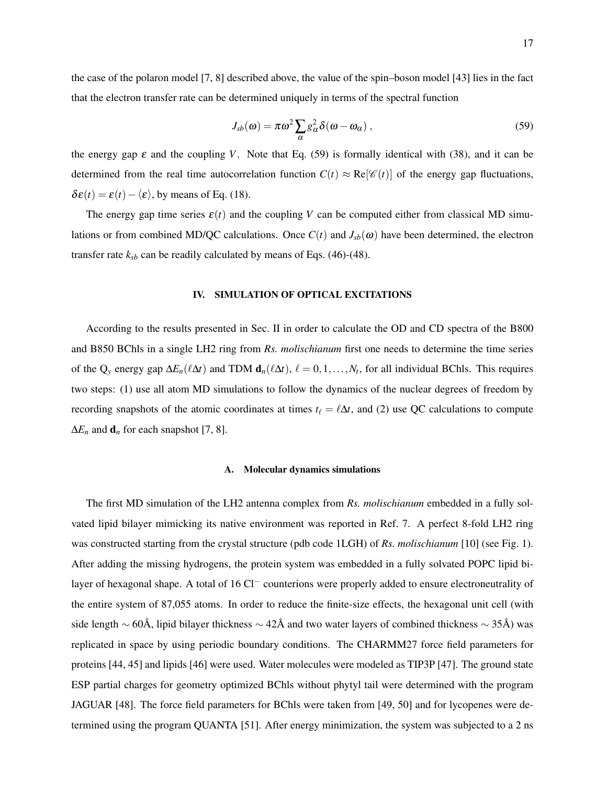the case of the polaron model [7, 8] described above, the value of the spin–boson model [43] lies in the fact that the electron transfer rate can be determined uniquely in terms of the spectral function

$$
J_{sb}(\omega) = \pi \omega^2 \sum_{\alpha} g_{\alpha}^2 \delta(\omega - \omega_{\alpha}), \qquad (59)
$$

the energy gap  $\varepsilon$  and the coupling *V*. Note that Eq. (59) is formally identical with (38), and it can be determined from the real time autocorrelation function  $C(t) \approx \text{Re}[\mathscr{C}(t)]$  of the energy gap fluctuations,  $\delta \varepsilon(t) = \varepsilon(t) - \langle \varepsilon \rangle$ , by means of Eq. (18).

The energy gap time series  $\varepsilon(t)$  and the coupling *V* can be computed either from classical MD simulations or from combined MD/QC calculations. Once  $C(t)$  and  $J_{sb}(\omega)$  have been determined, the electron transfer rate  $k_{sb}$  can be readily calculated by means of Eqs. (46)-(48).

### IV. SIMULATION OF OPTICAL EXCITATIONS

According to the results presented in Sec. II in order to calculate the OD and CD spectra of the B800 and B850 BChls in a single LH2 ring from *Rs. molischianum* first one needs to determine the time series of the Q<sub>y</sub> energy gap  $\Delta E_n(\ell \Delta t)$  and TDM  $\mathbf{d}_n(\ell \Delta t)$ ,  $\ell = 0,1,\ldots,N_t$ , for all individual BChls. This requires two steps: (1) use all atom MD simulations to follow the dynamics of the nuclear degrees of freedom by recording snapshots of the atomic coordinates at times  $t_\ell = \ell \Delta t$ , and (2) use QC calculations to compute  $\Delta E_n$  and  $\mathbf{d}_n$  for each snapshot [7, 8].

### A. Molecular dynamics simulations

The first MD simulation of the LH2 antenna complex from *Rs. molischianum* embedded in a fully solvated lipid bilayer mimicking its native environment was reported in Ref. 7. A perfect 8-fold LH2 ring was constructed starting from the crystal structure (pdb code 1LGH) of *Rs. molischianum* [10] (see Fig. 1). After adding the missing hydrogens, the protein system was embedded in a fully solvated POPC lipid bilayer of hexagonal shape. A total of 16 Cl<sup>−</sup> counterions were properly added to ensure electroneutrality of the entire system of 87,055 atoms. In order to reduce the finite-size effects, the hexagonal unit cell (with side length  $\sim$  60Å, lipid bilayer thickness  $\sim$  42Å and two water layers of combined thickness  $\sim$  35Å) was replicated in space by using periodic boundary conditions. The CHARMM27 force field parameters for proteins [44, 45] and lipids [46] were used. Water molecules were modeled as TIP3P [47]. The ground state ESP partial charges for geometry optimized BChls without phytyl tail were determined with the program JAGUAR [48]. The force field parameters for BChls were taken from [49, 50] and for lycopenes were determined using the program QUANTA [51]. After energy minimization, the system was subjected to a 2 ns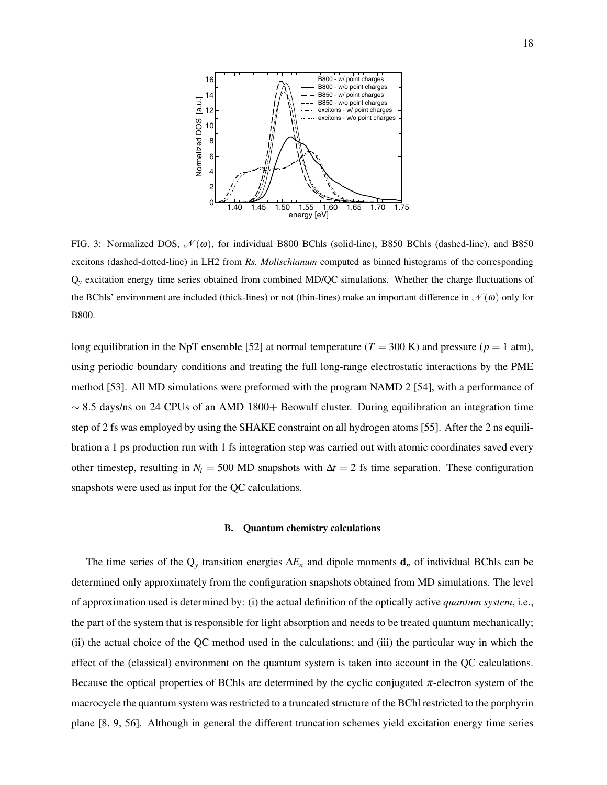

FIG. 3: Normalized DOS,  $\mathcal{N}(\omega)$ , for individual B800 BChls (solid-line), B850 BChls (dashed-line), and B850 excitons (dashed-dotted-line) in LH2 from *Rs. Molischianum* computed as binned histograms of the corresponding Q*<sup>y</sup>* excitation energy time series obtained from combined MD/QC simulations. Whether the charge fluctuations of the BChls' environment are included (thick-lines) or not (thin-lines) make an important difference in  $\mathcal{N}(\omega)$  only for B800.

long equilibration in the NpT ensemble [52] at normal temperature  $(T = 300 \text{ K})$  and pressure ( $p = 1 \text{ atm}$ ), using periodic boundary conditions and treating the full long-range electrostatic interactions by the PME method [53]. All MD simulations were preformed with the program NAMD 2 [54], with a performance of  $\sim$  8.5 days/ns on 24 CPUs of an AMD 1800+ Beowulf cluster. During equilibration an integration time step of 2 fs was employed by using the SHAKE constraint on all hydrogen atoms [55]. After the 2 ns equilibration a 1 ps production run with 1 fs integration step was carried out with atomic coordinates saved every other timestep, resulting in  $N_t = 500$  MD snapshots with  $\Delta t = 2$  fs time separation. These configuration snapshots were used as input for the QC calculations.

#### B. Quantum chemistry calculations

The time series of the Q*<sup>y</sup>* transition energies ∆*E<sup>n</sup>* and dipole moments d*<sup>n</sup>* of individual BChls can be determined only approximately from the configuration snapshots obtained from MD simulations. The level of approximation used is determined by: (i) the actual definition of the optically active *quantum system*, i.e., the part of the system that is responsible for light absorption and needs to be treated quantum mechanically; (ii) the actual choice of the QC method used in the calculations; and (iii) the particular way in which the effect of the (classical) environment on the quantum system is taken into account in the QC calculations. Because the optical properties of BChls are determined by the cyclic conjugated  $\pi$ -electron system of the macrocycle the quantum system was restricted to a truncated structure of the BChl restricted to the porphyrin plane [8, 9, 56]. Although in general the different truncation schemes yield excitation energy time series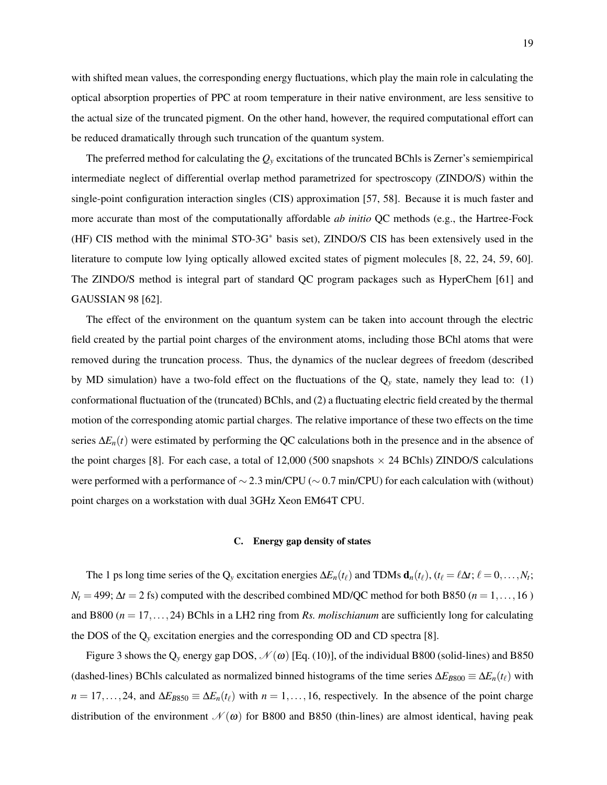with shifted mean values, the corresponding energy fluctuations, which play the main role in calculating the optical absorption properties of PPC at room temperature in their native environment, are less sensitive to the actual size of the truncated pigment. On the other hand, however, the required computational effort can be reduced dramatically through such truncation of the quantum system.

The preferred method for calculating the  $Q<sub>y</sub>$  excitations of the truncated BChls is Zerner's semiempirical intermediate neglect of differential overlap method parametrized for spectroscopy (ZINDO/S) within the single-point configuration interaction singles (CIS) approximation [57, 58]. Because it is much faster and more accurate than most of the computationally affordable *ab initio* QC methods (e.g., the Hartree-Fock (HF) CIS method with the minimal STO-3G<sup>∗</sup> basis set), ZINDO/S CIS has been extensively used in the literature to compute low lying optically allowed excited states of pigment molecules [8, 22, 24, 59, 60]. The ZINDO/S method is integral part of standard QC program packages such as HyperChem [61] and GAUSSIAN 98 [62].

The effect of the environment on the quantum system can be taken into account through the electric field created by the partial point charges of the environment atoms, including those BChl atoms that were removed during the truncation process. Thus, the dynamics of the nuclear degrees of freedom (described by MD simulation) have a two-fold effect on the fluctuations of the  $Q_y$  state, namely they lead to: (1) conformational fluctuation of the (truncated) BChls, and (2) a fluctuating electric field created by the thermal motion of the corresponding atomic partial charges. The relative importance of these two effects on the time series ∆*En*(*t*) were estimated by performing the QC calculations both in the presence and in the absence of the point charges [8]. For each case, a total of 12,000 (500 snapshots  $\times$  24 BChls) ZINDO/S calculations were performed with a performance of ~2.3 min/CPU (~0.7 min/CPU) for each calculation with (without) point charges on a workstation with dual 3GHz Xeon EM64T CPU.

### C. Energy gap density of states

The 1 ps long time series of the Q<sub>y</sub> excitation energies  $\Delta E_n(t_\ell)$  and TDMs  $\mathbf{d}_n(t_\ell)$ ,  $(t_\ell = \ell \Delta t; \ell = 0, \ldots, N_t;$  $N_t = 499$ ;  $\Delta t = 2$  fs) computed with the described combined MD/QC method for both B850 (*n* = 1,...,16) and B800 (*n* = 17,...,24) BChls in a LH2 ring from *Rs. molischianum* are sufficiently long for calculating the DOS of the Q*<sup>y</sup>* excitation energies and the corresponding OD and CD spectra [8].

Figure 3 shows the  $Q_y$  energy gap DOS,  $\mathcal{N}(\omega)$  [Eq. (10)], of the individual B800 (solid-lines) and B850 (dashed-lines) BChls calculated as normalized binned histograms of the time series  $\Delta E_{B800} \equiv \Delta E_n(t_\ell)$  with  $n = 17, \ldots, 24$ , and  $\Delta E_{B850} \equiv \Delta E_n(t_\ell)$  with  $n = 1, \ldots, 16$ , respectively. In the absence of the point charge distribution of the environment  $\mathcal{N}(\omega)$  for B800 and B850 (thin-lines) are almost identical, having peak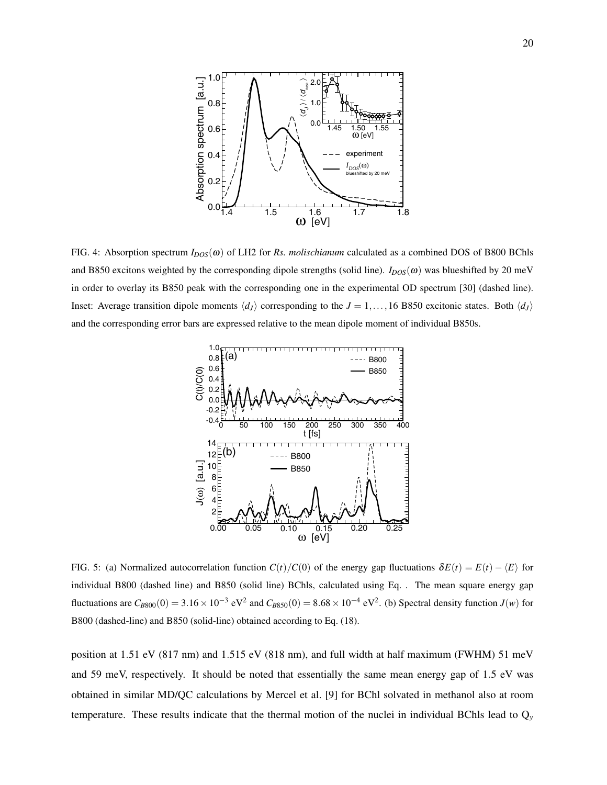

FIG. 4: Absorption spectrum  $I_{DOS}(\omega)$  of LH2 for *Rs. molischianum* calculated as a combined DOS of B800 BChls and B850 excitons weighted by the corresponding dipole strengths (solid line).  $I_{DOS}(\omega)$  was blueshifted by 20 meV in order to overlay its B850 peak with the corresponding one in the experimental OD spectrum [30] (dashed line). Inset: Average transition dipole moments  $\langle d_I \rangle$  corresponding to the  $J = 1, \ldots, 16$  B850 excitonic states. Both  $\langle d_I \rangle$ and the corresponding error bars are expressed relative to the mean dipole moment of individual B850s.



FIG. 5: (a) Normalized autocorrelation function  $C(t)/C(0)$  of the energy gap fluctuations  $\delta E(t) = E(t) - \langle E \rangle$  for individual B800 (dashed line) and B850 (solid line) BChls, calculated using Eq. . The mean square energy gap fluctuations are  $C_{B800}(0) = 3.16 \times 10^{-3}$  eV<sup>2</sup> and  $C_{B850}(0) = 8.68 \times 10^{-4}$  eV<sup>2</sup>. (b) Spectral density function *J*(*w*) for B800 (dashed-line) and B850 (solid-line) obtained according to Eq. (18).

position at 1.51 eV (817 nm) and 1.515 eV (818 nm), and full width at half maximum (FWHM) 51 meV and 59 meV, respectively. It should be noted that essentially the same mean energy gap of 1.5 eV was obtained in similar MD/QC calculations by Mercel et al. [9] for BChl solvated in methanol also at room temperature. These results indicate that the thermal motion of the nuclei in individual BChls lead to  $Q<sub>y</sub>$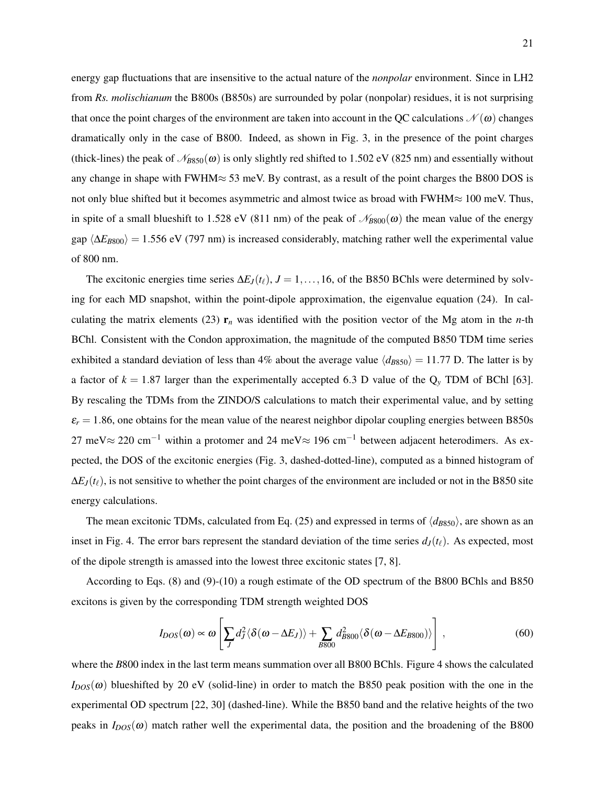energy gap fluctuations that are insensitive to the actual nature of the *nonpolar* environment. Since in LH2 from *Rs. molischianum* the B800s (B850s) are surrounded by polar (nonpolar) residues, it is not surprising that once the point charges of the environment are taken into account in the QC calculations  $\mathcal{N}(\omega)$  changes dramatically only in the case of B800. Indeed, as shown in Fig. 3, in the presence of the point charges (thick-lines) the peak of  $\mathcal{N}_{B850}(\omega)$  is only slightly red shifted to 1.502 eV (825 nm) and essentially without any change in shape with FWHM≈ 53 meV. By contrast, as a result of the point charges the B800 DOS is not only blue shifted but it becomes asymmetric and almost twice as broad with FWHM≈ 100 meV. Thus, in spite of a small blueshift to 1.528 eV (811 nm) of the peak of  $\mathcal{N}_{B800}(\omega)$  the mean value of the energy gap  $\langle \Delta E_{B800} \rangle$  = 1.556 eV (797 nm) is increased considerably, matching rather well the experimental value of 800 nm.

The excitonic energies time series  $\Delta E_I(t_\ell)$ ,  $J = 1, \ldots, 16$ , of the B850 BChls were determined by solving for each MD snapshot, within the point-dipole approximation, the eigenvalue equation (24). In calculating the matrix elements (23)  $r_n$  was identified with the position vector of the Mg atom in the *n*-th BChl. Consistent with the Condon approximation, the magnitude of the computed B850 TDM time series exhibited a standard deviation of less than 4% about the average value  $\langle d_{B850} \rangle = 11.77$  D. The latter is by a factor of  $k = 1.87$  larger than the experimentally accepted 6.3 D value of the  $Q_y$  TDM of BChl [63]. By rescaling the TDMs from the ZINDO/S calculations to match their experimental value, and by setting  $\varepsilon_r = 1.86$ , one obtains for the mean value of the nearest neighbor dipolar coupling energies between B850s 27 meV≈ 220 cm<sup>-1</sup> within a protomer and 24 meV≈ 196 cm<sup>-1</sup> between adjacent heterodimers. As expected, the DOS of the excitonic energies (Fig. 3, dashed-dotted-line), computed as a binned histogram of  $\Delta E_J(t_\ell)$ , is not sensitive to whether the point charges of the environment are included or not in the B850 site energy calculations.

The mean excitonic TDMs, calculated from Eq. (25) and expressed in terms of  $\langle d_{B850} \rangle$ , are shown as an inset in Fig. 4. The error bars represent the standard deviation of the time series  $d_J(t_\ell)$ . As expected, most of the dipole strength is amassed into the lowest three excitonic states [7, 8].

According to Eqs. (8) and (9)-(10) a rough estimate of the OD spectrum of the B800 BChls and B850 excitons is given by the corresponding TDM strength weighted DOS

$$
I_{DOS}(\omega) \propto \omega \left[ \sum_{J} d_{J}^{2} \langle \delta(\omega - \Delta E_{J}) \rangle + \sum_{B800} d_{B800}^{2} \langle \delta(\omega - \Delta E_{B800}) \rangle \right],
$$
 (60)

where the *B800* index in the last term means summation over all B800 BChls. Figure 4 shows the calculated  $I_{DOS}(\omega)$  blueshifted by 20 eV (solid-line) in order to match the B850 peak position with the one in the experimental OD spectrum [22, 30] (dashed-line). While the B850 band and the relative heights of the two peaks in  $I_{DOS}(\omega)$  match rather well the experimental data, the position and the broadening of the B800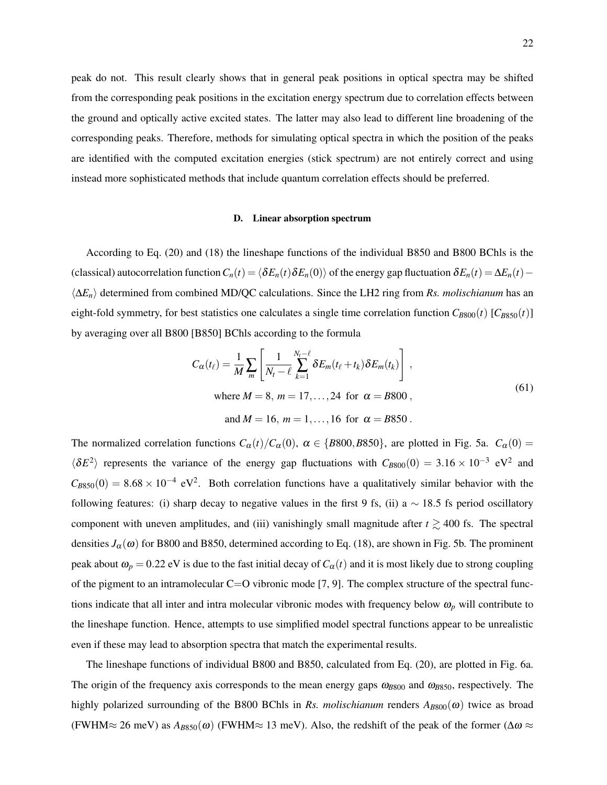peak do not. This result clearly shows that in general peak positions in optical spectra may be shifted from the corresponding peak positions in the excitation energy spectrum due to correlation effects between the ground and optically active excited states. The latter may also lead to different line broadening of the corresponding peaks. Therefore, methods for simulating optical spectra in which the position of the peaks are identified with the computed excitation energies (stick spectrum) are not entirely correct and using instead more sophisticated methods that include quantum correlation effects should be preferred.

## D. Linear absorption spectrum

According to Eq. (20) and (18) the lineshape functions of the individual B850 and B800 BChls is the (classical) autocorrelation function  $C_n(t) = \langle \delta E_n(t) \delta E_n(0) \rangle$  of the energy gap fluctuation  $\delta E_n(t) = \Delta E_n(t) \langle \Delta E_n \rangle$  determined from combined MD/QC calculations. Since the LH2 ring from *Rs. molischianum* has an eight-fold symmetry, for best statistics one calculates a single time correlation function  $C_{B800}(t)$  [ $C_{B850}(t)$ ] by averaging over all B800 [B850] BChls according to the formula

$$
C_{\alpha}(t_{\ell}) = \frac{1}{M} \sum_{m} \left[ \frac{1}{N_{t} - \ell} \sum_{k=1}^{N_{t} - \ell} \delta E_{m}(t_{\ell} + t_{k}) \delta E_{m}(t_{k}) \right],
$$
  
where  $M = 8$ ,  $m = 17, ..., 24$  for  $\alpha = B800$ ,  
and  $M = 16$ ,  $m = 1, ..., 16$  for  $\alpha = B850$ . (61)

The normalized correlation functions  $C_{\alpha}(t)/C_{\alpha}(0)$ ,  $\alpha \in \{B800, B850\}$ , are plotted in Fig. 5a.  $C_{\alpha}(0)$  =  $\langle \delta E^2 \rangle$  represents the variance of the energy gap fluctuations with  $C_{B800}(0) = 3.16 \times 10^{-3}$  eV<sup>2</sup> and  $C_{B850}(0) = 8.68 \times 10^{-4}$  eV<sup>2</sup>. Both correlation functions have a qualitatively similar behavior with the following features: (i) sharp decay to negative values in the first 9 fs, (ii) a  $\sim$  18.5 fs period oscillatory component with uneven amplitudes, and (iii) vanishingly small magnitude after  $t \gtrsim 400$  fs. The spectral densities  $J_\alpha(\omega)$  for B800 and B850, determined according to Eq. (18), are shown in Fig. 5b. The prominent peak about  $\omega_p = 0.22$  eV is due to the fast initial decay of  $C_\alpha(t)$  and it is most likely due to strong coupling of the pigment to an intramolecular  $C=O$  vibronic mode [7, 9]. The complex structure of the spectral functions indicate that all inter and intra molecular vibronic modes with frequency below  $\omega_p$  will contribute to the lineshape function. Hence, attempts to use simplified model spectral functions appear to be unrealistic even if these may lead to absorption spectra that match the experimental results.

The lineshape functions of individual B800 and B850, calculated from Eq. (20), are plotted in Fig. 6a. The origin of the frequency axis corresponds to the mean energy gaps  $\omega_{B800}$  and  $\omega_{B850}$ , respectively. The highly polarized surrounding of the B800 BChls in *Rs. molischianum* renders  $A_{B800}(\omega)$  twice as broad (FWHM≈ 26 meV) as  $A_{B850}(\omega)$  (FWHM≈ 13 meV). Also, the redshift of the peak of the former ( $\Delta \omega \approx$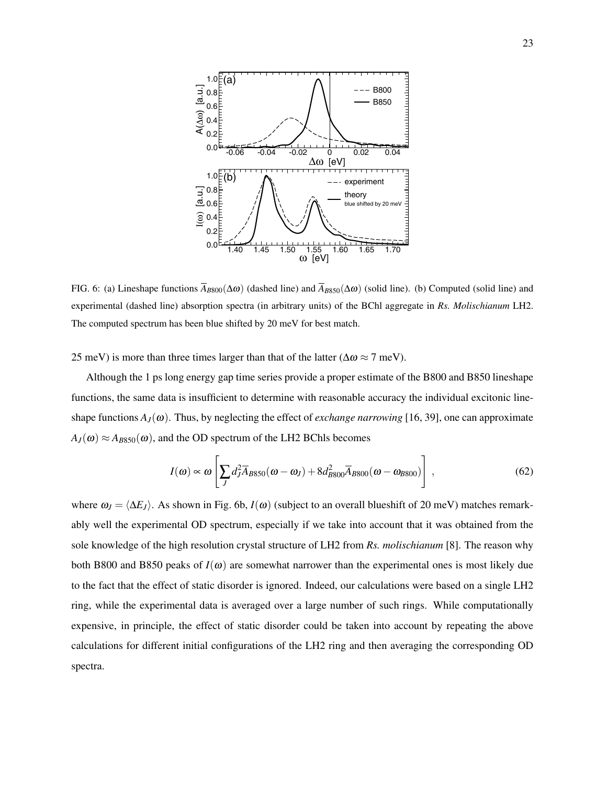

FIG. 6: (a) Lineshape functions  $\overline{A}_{B800}(\Delta \omega)$  (dashed line) and  $\overline{A}_{B850}(\Delta \omega)$  (solid line). (b) Computed (solid line) and experimental (dashed line) absorption spectra (in arbitrary units) of the BChl aggregate in *Rs. Molischianum* LH2. The computed spectrum has been blue shifted by 20 meV for best match.

25 meV) is more than three times larger than that of the latter ( $\Delta \omega \approx 7$  meV).

Although the 1 ps long energy gap time series provide a proper estimate of the B800 and B850 lineshape functions, the same data is insufficient to determine with reasonable accuracy the individual excitonic lineshape functions  $A_J(\omega)$ . Thus, by neglecting the effect of *exchange narrowing* [16, 39], one can approximate  $A_J(\omega) \approx A_{B850}(\omega)$ , and the OD spectrum of the LH2 BChls becomes

$$
I(\omega) \propto \omega \left[ \sum_{J} d_{J}^{2} \overline{A}_{B850} (\omega - \omega_{J}) + 8 d_{B800}^{2} \overline{A}_{B800} (\omega - \omega_{B800}) \right],
$$
 (62)

where  $\omega_J = \langle \Delta E_J \rangle$ . As shown in Fig. 6b, *I*( $\omega$ ) (subject to an overall blueshift of 20 meV) matches remarkably well the experimental OD spectrum, especially if we take into account that it was obtained from the sole knowledge of the high resolution crystal structure of LH2 from *Rs. molischianum* [8]. The reason why both B800 and B850 peaks of  $I(\omega)$  are somewhat narrower than the experimental ones is most likely due to the fact that the effect of static disorder is ignored. Indeed, our calculations were based on a single LH2 ring, while the experimental data is averaged over a large number of such rings. While computationally expensive, in principle, the effect of static disorder could be taken into account by repeating the above calculations for different initial configurations of the LH2 ring and then averaging the corresponding OD spectra.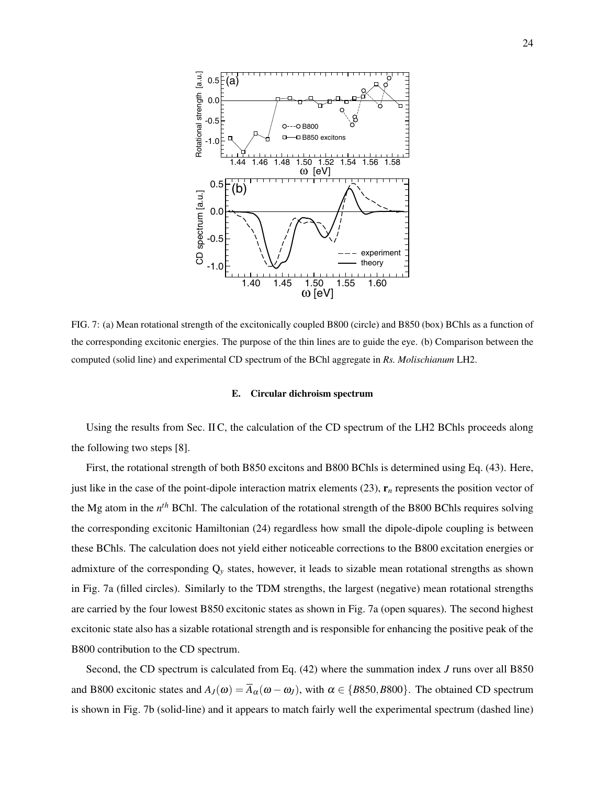

FIG. 7: (a) Mean rotational strength of the excitonically coupled B800 (circle) and B850 (box) BChls as a function of the corresponding excitonic energies. The purpose of the thin lines are to guide the eye. (b) Comparison between the computed (solid line) and experimental CD spectrum of the BChl aggregate in *Rs. Molischianum* LH2.

### E. Circular dichroism spectrum

Using the results from Sec. II C, the calculation of the CD spectrum of the LH2 BChls proceeds along the following two steps [8].

First, the rotational strength of both B850 excitons and B800 BChls is determined using Eq. (43). Here, just like in the case of the point-dipole interaction matrix elements  $(23)$ ,  $\mathbf{r}_n$  represents the position vector of the Mg atom in the *n th* BChl. The calculation of the rotational strength of the B800 BChls requires solving the corresponding excitonic Hamiltonian (24) regardless how small the dipole-dipole coupling is between these BChls. The calculation does not yield either noticeable corrections to the B800 excitation energies or admixture of the corresponding Q*<sup>y</sup>* states, however, it leads to sizable mean rotational strengths as shown in Fig. 7a (filled circles). Similarly to the TDM strengths, the largest (negative) mean rotational strengths are carried by the four lowest B850 excitonic states as shown in Fig. 7a (open squares). The second highest excitonic state also has a sizable rotational strength and is responsible for enhancing the positive peak of the B800 contribution to the CD spectrum.

Second, the CD spectrum is calculated from Eq. (42) where the summation index *J* runs over all B850 and B800 excitonic states and  $A_J(\omega) = \overline{A}_{\alpha}(\omega - \omega_J)$ , with  $\alpha \in \{B850, B800\}$ . The obtained CD spectrum is shown in Fig. 7b (solid-line) and it appears to match fairly well the experimental spectrum (dashed line)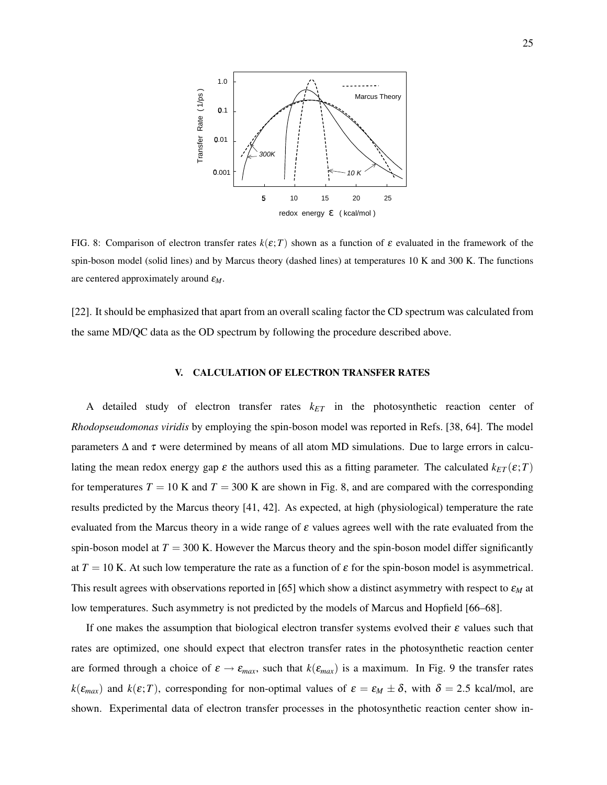

FIG. 8: Comparison of electron transfer rates  $k(\varepsilon;T)$  shown as a function of  $\varepsilon$  evaluated in the framework of the spin-boson model (solid lines) and by Marcus theory (dashed lines) at temperatures 10 K and 300 K. The functions are centered approximately around ε*M*.

[22]. It should be emphasized that apart from an overall scaling factor the CD spectrum was calculated from the same MD/QC data as the OD spectrum by following the procedure described above.

### V. CALCULATION OF ELECTRON TRANSFER RATES

A detailed study of electron transfer rates *kET* in the photosynthetic reaction center of *Rhodopseudomonas viridis* by employing the spin-boson model was reported in Refs. [38, 64]. The model parameters  $\Delta$  and  $\tau$  were determined by means of all atom MD simulations. Due to large errors in calculating the mean redox energy gap  $\varepsilon$  the authors used this as a fitting parameter. The calculated  $k_{ET}(\varepsilon;T)$ for temperatures  $T = 10$  K and  $T = 300$  K are shown in Fig. 8, and are compared with the corresponding results predicted by the Marcus theory [41, 42]. As expected, at high (physiological) temperature the rate evaluated from the Marcus theory in a wide range of  $\varepsilon$  values agrees well with the rate evaluated from the spin-boson model at  $T = 300$  K. However the Marcus theory and the spin-boson model differ significantly at  $T = 10$  K. At such low temperature the rate as a function of  $\varepsilon$  for the spin-boson model is asymmetrical. This result agrees with observations reported in [65] which show a distinct asymmetry with respect to ε*<sup>M</sup>* at low temperatures. Such asymmetry is not predicted by the models of Marcus and Hopfield [66–68].

If one makes the assumption that biological electron transfer systems evolved their  $\varepsilon$  values such that rates are optimized, one should expect that electron transfer rates in the photosynthetic reaction center are formed through a choice of  $\varepsilon \to \varepsilon_{max}$ , such that  $k(\varepsilon_{max})$  is a maximum. In Fig. 9 the transfer rates  $k(\epsilon_{max})$  and  $k(\epsilon;T)$ , corresponding for non-optimal values of  $\epsilon = \epsilon_M \pm \delta$ , with  $\delta = 2.5$  kcal/mol, are shown. Experimental data of electron transfer processes in the photosynthetic reaction center show in-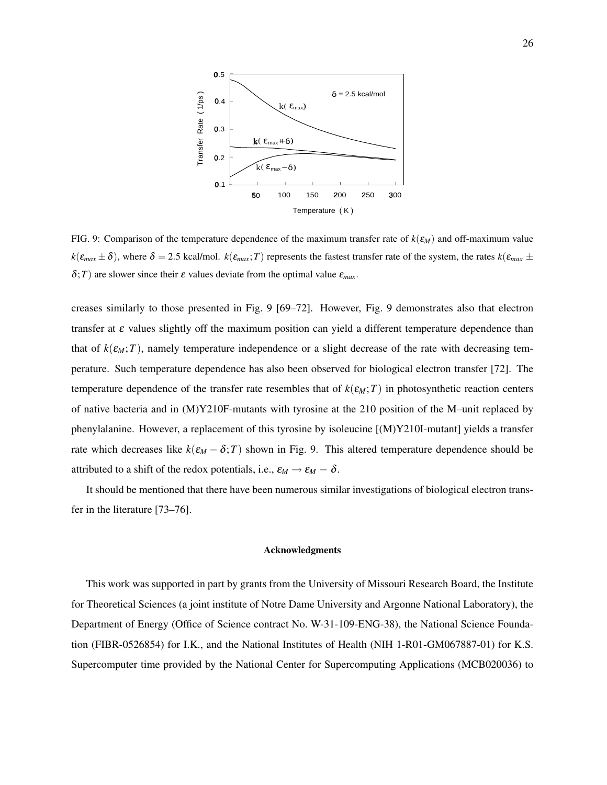

FIG. 9: Comparison of the temperature dependence of the maximum transfer rate of  $k(\varepsilon_M)$  and off-maximum value  $k(\varepsilon_{max} \pm \delta)$ , where  $\delta = 2.5$  kcal/mol.  $k(\varepsilon_{max};T)$  represents the fastest transfer rate of the system, the rates  $k(\varepsilon_{max} \pm \delta)$  $\delta$ ; *T*) are slower since their  $\varepsilon$  values deviate from the optimal value  $\varepsilon_{max}$ .

creases similarly to those presented in Fig. 9 [69–72]. However, Fig. 9 demonstrates also that electron transfer at  $\varepsilon$  values slightly off the maximum position can yield a different temperature dependence than that of  $k(\varepsilon_M;T)$ , namely temperature independence or a slight decrease of the rate with decreasing temperature. Such temperature dependence has also been observed for biological electron transfer [72]. The temperature dependence of the transfer rate resembles that of  $k(\epsilon_M;T)$  in photosynthetic reaction centers of native bacteria and in (M)Y210F-mutants with tyrosine at the 210 position of the M–unit replaced by phenylalanine. However, a replacement of this tyrosine by isoleucine [(M)Y210I-mutant] yields a transfer rate which decreases like  $k(\varepsilon_M - \delta; T)$  shown in Fig. 9. This altered temperature dependence should be attributed to a shift of the redox potentials, i.e.,  $\varepsilon_M \to \varepsilon_M - \delta$ .

It should be mentioned that there have been numerous similar investigations of biological electron transfer in the literature [73–76].

## Acknowledgments

This work was supported in part by grants from the University of Missouri Research Board, the Institute for Theoretical Sciences (a joint institute of Notre Dame University and Argonne National Laboratory), the Department of Energy (Office of Science contract No. W-31-109-ENG-38), the National Science Foundation (FIBR-0526854) for I.K., and the National Institutes of Health (NIH 1-R01-GM067887-01) for K.S. Supercomputer time provided by the National Center for Supercomputing Applications (MCB020036) to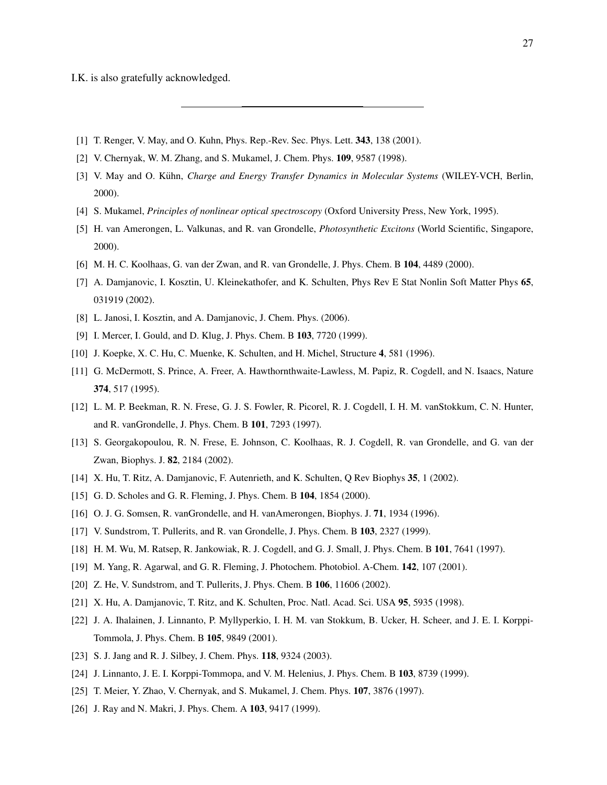I.K. is also gratefully acknowledged.

- [1] T. Renger, V. May, and O. Kuhn, Phys. Rep.-Rev. Sec. Phys. Lett. 343, 138 (2001).
- [2] V. Chernyak, W. M. Zhang, and S. Mukamel, J. Chem. Phys. 109, 9587 (1998).
- [3] V. May and O. Kühn, *Charge and Energy Transfer Dynamics in Molecular Systems* (WILEY-VCH, Berlin, 2000).
- [4] S. Mukamel, *Principles of nonlinear optical spectroscopy* (Oxford University Press, New York, 1995).
- [5] H. van Amerongen, L. Valkunas, and R. van Grondelle, *Photosynthetic Excitons* (World Scientific, Singapore, 2000).
- [6] M. H. C. Koolhaas, G. van der Zwan, and R. van Grondelle, J. Phys. Chem. B 104, 4489 (2000).
- [7] A. Damjanovic, I. Kosztin, U. Kleinekathofer, and K. Schulten, Phys Rev E Stat Nonlin Soft Matter Phys 65, 031919 (2002).
- [8] L. Janosi, I. Kosztin, and A. Damjanovic, J. Chem. Phys. (2006).
- [9] I. Mercer, I. Gould, and D. Klug, J. Phys. Chem. B 103, 7720 (1999).
- [10] J. Koepke, X. C. Hu, C. Muenke, K. Schulten, and H. Michel, Structure 4, 581 (1996).
- [11] G. McDermott, S. Prince, A. Freer, A. Hawthornthwaite-Lawless, M. Papiz, R. Cogdell, and N. Isaacs, Nature 374, 517 (1995).
- [12] L. M. P. Beekman, R. N. Frese, G. J. S. Fowler, R. Picorel, R. J. Cogdell, I. H. M. vanStokkum, C. N. Hunter, and R. vanGrondelle, J. Phys. Chem. B 101, 7293 (1997).
- [13] S. Georgakopoulou, R. N. Frese, E. Johnson, C. Koolhaas, R. J. Cogdell, R. van Grondelle, and G. van der Zwan, Biophys. J. 82, 2184 (2002).
- [14] X. Hu, T. Ritz, A. Damjanovic, F. Autenrieth, and K. Schulten, Q Rev Biophys 35, 1 (2002).
- [15] G. D. Scholes and G. R. Fleming, J. Phys. Chem. B 104, 1854 (2000).
- [16] O. J. G. Somsen, R. vanGrondelle, and H. vanAmerongen, Biophys. J. 71, 1934 (1996).
- [17] V. Sundstrom, T. Pullerits, and R. van Grondelle, J. Phys. Chem. B 103, 2327 (1999).
- [18] H. M. Wu, M. Ratsep, R. Jankowiak, R. J. Cogdell, and G. J. Small, J. Phys. Chem. B 101, 7641 (1997).
- [19] M. Yang, R. Agarwal, and G. R. Fleming, J. Photochem. Photobiol. A-Chem. 142, 107 (2001).
- [20] Z. He, V. Sundstrom, and T. Pullerits, J. Phys. Chem. B **106**, 11606 (2002).
- [21] X. Hu, A. Damjanovic, T. Ritz, and K. Schulten, Proc. Natl. Acad. Sci. USA 95, 5935 (1998).
- [22] J. A. Ihalainen, J. Linnanto, P. Myllyperkio, I. H. M. van Stokkum, B. Ucker, H. Scheer, and J. E. I. Korppi-Tommola, J. Phys. Chem. B 105, 9849 (2001).
- [23] S. J. Jang and R. J. Silbey, J. Chem. Phys. **118**, 9324 (2003).
- [24] J. Linnanto, J. E. I. Korppi-Tommopa, and V. M. Helenius, J. Phys. Chem. B 103, 8739 (1999).
- [25] T. Meier, Y. Zhao, V. Chernyak, and S. Mukamel, J. Chem. Phys. 107, 3876 (1997).
- [26] J. Ray and N. Makri, J. Phys. Chem. A 103, 9417 (1999).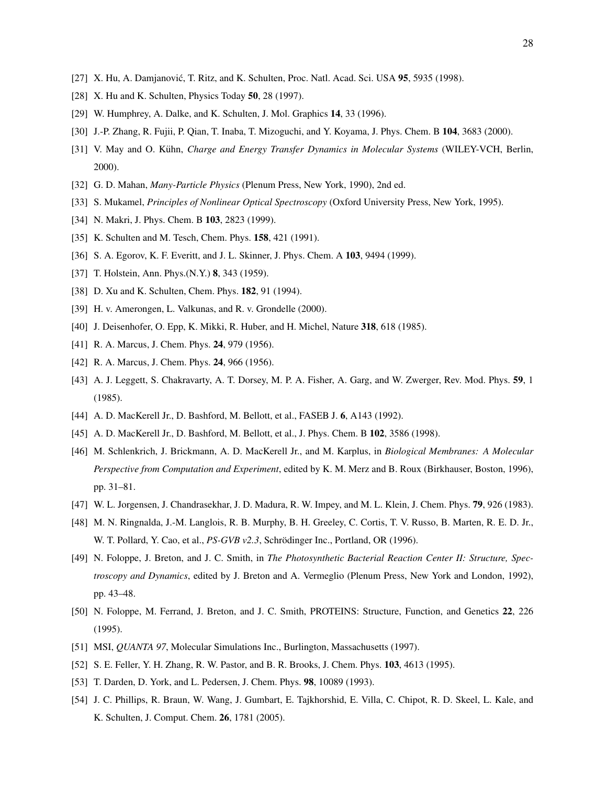- [27] X. Hu, A. Damjanović, T. Ritz, and K. Schulten, Proc. Natl. Acad. Sci. USA **95**, 5935 (1998).
- [28] X. Hu and K. Schulten, Physics Today 50, 28 (1997).
- [29] W. Humphrey, A. Dalke, and K. Schulten, J. Mol. Graphics 14, 33 (1996).
- [30] J.-P. Zhang, R. Fujii, P. Qian, T. Inaba, T. Mizoguchi, and Y. Koyama, J. Phys. Chem. B 104, 3683 (2000).
- [31] V. May and O. Kühn, *Charge and Energy Transfer Dynamics in Molecular Systems* (WILEY-VCH, Berlin, 2000).
- [32] G. D. Mahan, *Many-Particle Physics* (Plenum Press, New York, 1990), 2nd ed.
- [33] S. Mukamel, *Principles of Nonlinear Optical Spectroscopy* (Oxford University Press, New York, 1995).
- [34] N. Makri, J. Phys. Chem. B 103, 2823 (1999).
- [35] K. Schulten and M. Tesch, Chem. Phys. **158**, 421 (1991).
- [36] S. A. Egorov, K. F. Everitt, and J. L. Skinner, J. Phys. Chem. A 103, 9494 (1999).
- [37] T. Holstein, Ann. Phys.(N.Y.) **8**, 343 (1959).
- [38] D. Xu and K. Schulten, Chem. Phys. **182**, 91 (1994).
- [39] H. v. Amerongen, L. Valkunas, and R. v. Grondelle (2000).
- [40] J. Deisenhofer, O. Epp, K. Mikki, R. Huber, and H. Michel, Nature 318, 618 (1985).
- [41] R. A. Marcus, J. Chem. Phys. **24**, 979 (1956).
- [42] R. A. Marcus, J. Chem. Phys. **24**, 966 (1956).
- [43] A. J. Leggett, S. Chakravarty, A. T. Dorsey, M. P. A. Fisher, A. Garg, and W. Zwerger, Rev. Mod. Phys. 59, 1 (1985).
- [44] A. D. MacKerell Jr., D. Bashford, M. Bellott, et al., FASEB J. 6, A143 (1992).
- [45] A. D. MacKerell Jr., D. Bashford, M. Bellott, et al., J. Phys. Chem. B 102, 3586 (1998).
- [46] M. Schlenkrich, J. Brickmann, A. D. MacKerell Jr., and M. Karplus, in *Biological Membranes: A Molecular Perspective from Computation and Experiment*, edited by K. M. Merz and B. Roux (Birkhauser, Boston, 1996), pp. 31–81.
- [47] W. L. Jorgensen, J. Chandrasekhar, J. D. Madura, R. W. Impey, and M. L. Klein, J. Chem. Phys. 79, 926 (1983).
- [48] M. N. Ringnalda, J.-M. Langlois, R. B. Murphy, B. H. Greeley, C. Cortis, T. V. Russo, B. Marten, R. E. D. Jr., W. T. Pollard, Y. Cao, et al., *PS-GVB v2.3*, Schrödinger Inc., Portland, OR (1996).
- [49] N. Foloppe, J. Breton, and J. C. Smith, in *The Photosynthetic Bacterial Reaction Center II: Structure, Spectroscopy and Dynamics*, edited by J. Breton and A. Vermeglio (Plenum Press, New York and London, 1992), pp. 43–48.
- [50] N. Foloppe, M. Ferrand, J. Breton, and J. C. Smith, PROTEINS: Structure, Function, and Genetics 22, 226 (1995).
- [51] MSI, *QUANTA 97*, Molecular Simulations Inc., Burlington, Massachusetts (1997).
- [52] S. E. Feller, Y. H. Zhang, R. W. Pastor, and B. R. Brooks, J. Chem. Phys. 103, 4613 (1995).
- [53] T. Darden, D. York, and L. Pedersen, J. Chem. Phys. 98, 10089 (1993).
- [54] J. C. Phillips, R. Braun, W. Wang, J. Gumbart, E. Tajkhorshid, E. Villa, C. Chipot, R. D. Skeel, L. Kale, and K. Schulten, J. Comput. Chem. 26, 1781 (2005).